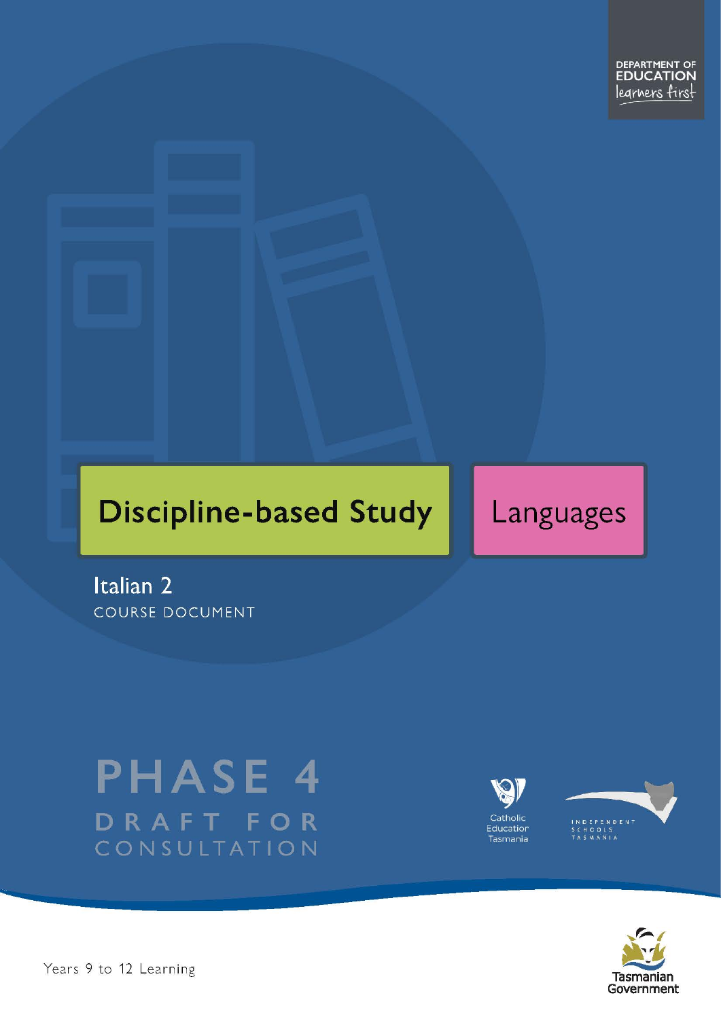# **Discipline-based Study**

# Languages

Italian 2 **COURSE DOCUMENT** 

# **PHASE 4** DRAFT FOR CONSULTATION





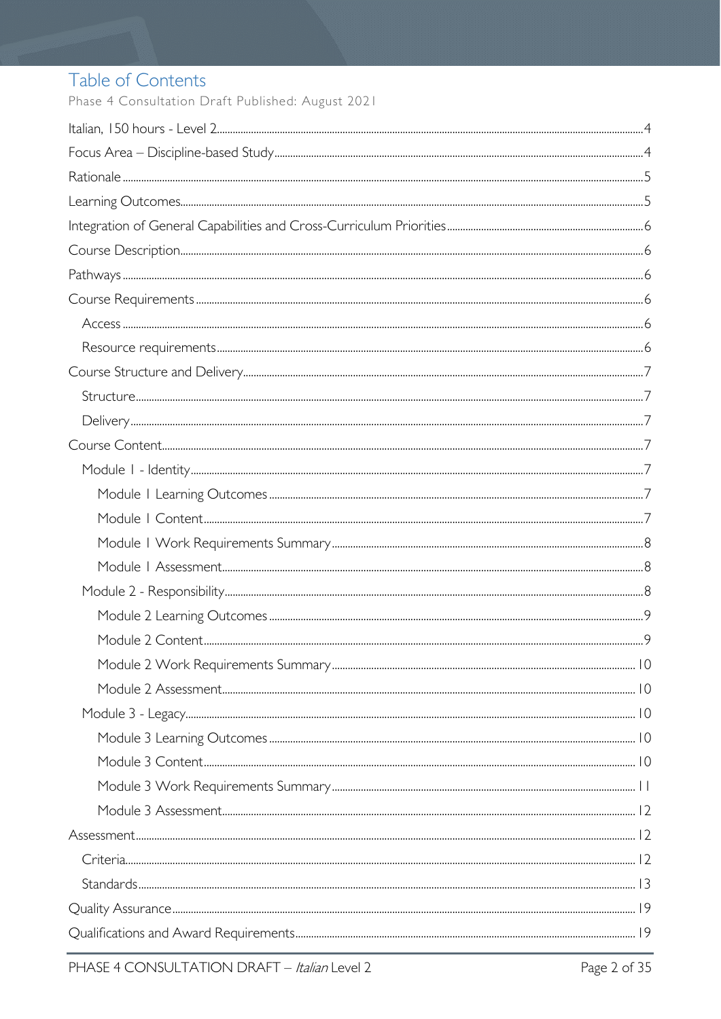# Table of Contents

Phase 4 Consultation Draft Published: August 2021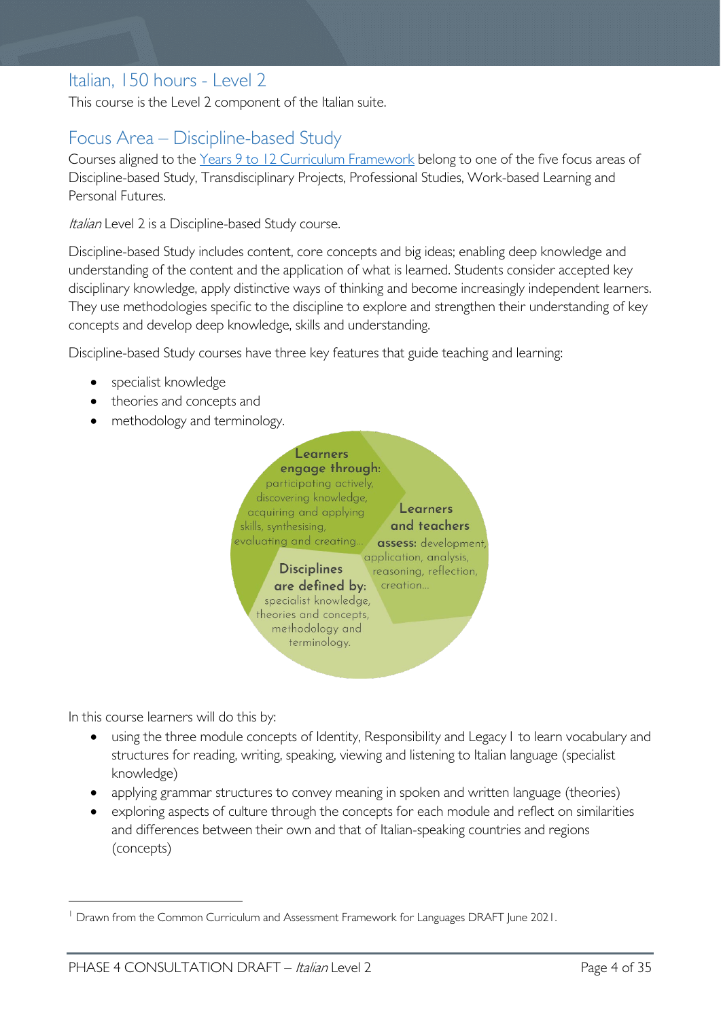# <span id="page-3-0"></span>Italian, 150 hours - Level 2

This course is the Level 2 component of the Italian suite.

# <span id="page-3-1"></span>Focus Area – Discipline-based Study

Courses aligned to the [Years 9 to 12 Curriculum Framework](https://publicdocumentcentre.education.tas.gov.au/library/Shared%20Documents/Education%209-12%20Frameworks%20A3%20WEB%20POSTER.pdf) belong to one of the five focus areas of Discipline-based Study, Transdisciplinary Projects, Professional Studies, Work-based Learning and Personal Futures.

Italian Level 2 is a Discipline-based Study course.

Discipline-based Study includes content, core concepts and big ideas; enabling deep knowledge and understanding of the content and the application of what is learned. Students consider accepted key disciplinary knowledge, apply distinctive ways of thinking and become increasingly independent learners. They use methodologies specific to the discipline to explore and strengthen their understanding of key concepts and develop deep knowledge, skills and understanding.

Discipline-based Study courses have three key features that guide teaching and learning:

- specialist knowledge
- theories and concepts and
- methodology and terminology.



In this course learners will do this by:

- using the three module concepts of Identity, Responsibility and Legacy[1](#page-3-2) to learn vocabulary and structures for reading, writing, speaking, viewing and listening to Italian language (specialist knowledge)
- applying grammar structures to convey meaning in spoken and written language (theories)
- exploring aspects of culture through the concepts for each module and reflect on similarities and differences between their own and that of Italian-speaking countries and regions (concepts)

<span id="page-3-2"></span><sup>&</sup>lt;sup>1</sup> Drawn from the Common Curriculum and Assessment Framework for Languages DRAFT June 2021.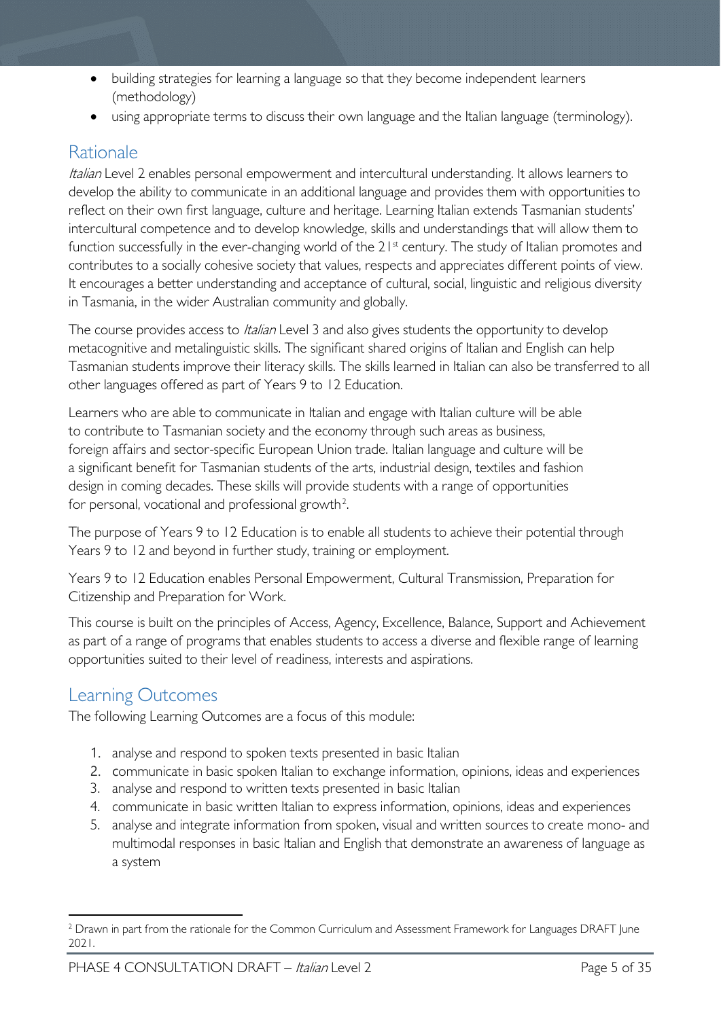- building strategies for learning a language so that they become independent learners (methodology)
- using appropriate terms to discuss their own language and the Italian language (terminology).

# <span id="page-4-0"></span>Rationale

Italian Level 2 enables personal empowerment and intercultural understanding. It allows learners to develop the ability to communicate in an additional language and provides them with opportunities to reflect on their own first language, culture and heritage. Learning Italian extends Tasmanian students' intercultural competence and to develop knowledge, skills and understandings that will allow them to function successfully in the ever-changing world of the 21<sup>st</sup> century. The study of Italian promotes and contributes to a socially cohesive society that values, respects and appreciates different points of view. It encourages a better understanding and acceptance of cultural, social, linguistic and religious diversity in Tasmania, in the wider Australian community and globally.

The course provides access to *Italian* Level 3 and also gives students the opportunity to develop metacognitive and metalinguistic skills. The significant shared origins of Italian and English can help Tasmanian students improve their literacy skills. The skills learned in Italian can also be transferred to all other languages offered as part of Years 9 to 12 Education.

Learners who are able to communicate in Italian and engage with Italian culture will be able to contribute to Tasmanian society and the economy through such areas as business, foreign affairs and sector-specific European Union trade. Italian language and culture will be a significant benefit for Tasmanian students of the arts, industrial design, textiles and fashion design in coming decades. These skills will provide students with a range of opportunities for personal, vocational and professional growth<sup>[2](#page-4-2)</sup>.

The purpose of Years 9 to 12 Education is to enable all students to achieve their potential through Years 9 to 12 and beyond in further study, training or employment.

Years 9 to 12 Education enables Personal Empowerment, Cultural Transmission, Preparation for Citizenship and Preparation for Work.

This course is built on the principles of Access, Agency, Excellence, Balance, Support and Achievement as part of a range of programs that enables students to access a diverse and flexible range of learning opportunities suited to their level of readiness, interests and aspirations.

# <span id="page-4-1"></span>Learning Outcomes

The following Learning Outcomes are a focus of this module:

- 1. analyse and respond to spoken texts presented in basic Italian
- 2. communicate in basic spoken Italian to exchange information, opinions, ideas and experiences
- 3. analyse and respond to written texts presented in basic Italian
- 4. communicate in basic written Italian to express information, opinions, ideas and experiences
- 5. analyse and integrate information from spoken, visual and written sources to create mono- and multimodal responses in basic Italian and English that demonstrate an awareness of language as a system

<span id="page-4-2"></span><sup>&</sup>lt;sup>2</sup> Drawn in part from the rationale for the Common Curriculum and Assessment Framework for Languages DRAFT June 2021.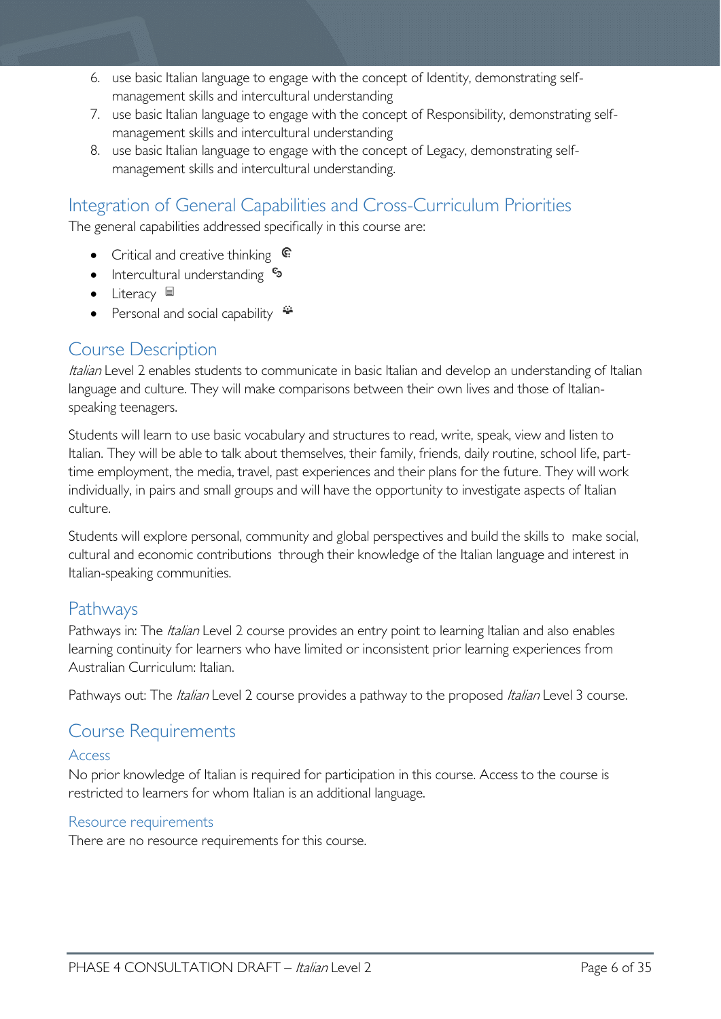- 6. use basic Italian language to engage with the concept of Identity, demonstrating selfmanagement skills and intercultural understanding
- 7. use basic Italian language to engage with the concept of Responsibility, demonstrating selfmanagement skills and intercultural understanding
- 8. use basic Italian language to engage with the concept of Legacy, demonstrating selfmanagement skills and intercultural understanding.

# <span id="page-5-0"></span>Integration of General Capabilities and Cross-Curriculum Priorities

The general capabilities addressed specifically in this course are:

- Critical and creative thinking  $\mathbb{C}$
- Intercultural understanding  $\frac{c_3}{ }$
- Literacy  $\blacksquare$
- Personal and social capability  $\ddot{\bullet}$

# <span id="page-5-1"></span>Course Description

Italian Level 2 enables students to communicate in basic Italian and develop an understanding of Italian language and culture. They will make comparisons between their own lives and those of Italianspeaking teenagers.

Students will learn to use basic vocabulary and structures to read, write, speak, view and listen to Italian. They will be able to talk about themselves, their family, friends, daily routine, school life, parttime employment, the media, travel, past experiences and their plans for the future. They will work individually, in pairs and small groups and will have the opportunity to investigate aspects of Italian culture.

Students will explore personal, community and global perspectives and build the skills to make social, cultural and economic contributions through their knowledge of the Italian language and interest in Italian-speaking communities.

# <span id="page-5-2"></span>Pathways

Pathways in: The *Italian* Level 2 course provides an entry point to learning Italian and also enables learning continuity for learners who have limited or inconsistent prior learning experiences from Australian Curriculum: Italian.

Pathways out: The *Italian* Level 2 course provides a pathway to the proposed *Italian* Level 3 course.

# <span id="page-5-3"></span>Course Requirements

# <span id="page-5-4"></span>Access

No prior knowledge of Italian is required for participation in this course. Access to the course is restricted to learners for whom Italian is an additional language.

# <span id="page-5-5"></span>Resource requirements

There are no resource requirements for this course.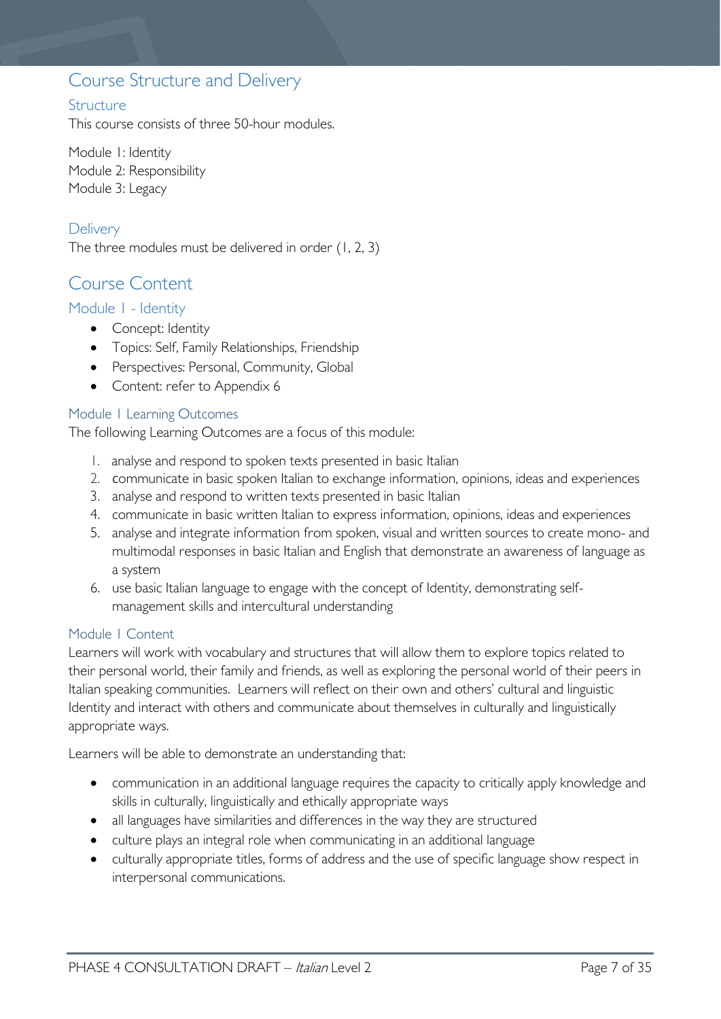# <span id="page-6-0"></span>Course Structure and Delivery

# <span id="page-6-1"></span>**Structure**

This course consists of three 50-hour modules.

Module 1: Identity Module 2: Responsibility Module 3: Legacy

# <span id="page-6-2"></span>**Delivery**

The three modules must be delivered in order (1, 2, 3)

# <span id="page-6-3"></span>Course Content

## <span id="page-6-4"></span>Module 1 - Identity

- Concept: Identity
- Topics: Self, Family Relationships, Friendship
- Perspectives: Personal, Community, Global
- Content: refer to Appendix 6

#### <span id="page-6-5"></span>Module 1 Learning Outcomes

The following Learning Outcomes are a focus of this module:

- 1. analyse and respond to spoken texts presented in basic Italian
- 2. communicate in basic spoken Italian to exchange information, opinions, ideas and experiences
- 3. analyse and respond to written texts presented in basic Italian
- 4. communicate in basic written Italian to express information, opinions, ideas and experiences
- 5. analyse and integrate information from spoken, visual and written sources to create mono- and multimodal responses in basic Italian and English that demonstrate an awareness of language as a system
- 6. use basic Italian language to engage with the concept of Identity, demonstrating selfmanagement skills and intercultural understanding

#### <span id="page-6-6"></span>Module 1 Content

Learners will work with vocabulary and structures that will allow them to explore topics related to their personal world, their family and friends, as well as exploring the personal world of their peers in Italian speaking communities. Learners will reflect on their own and others' cultural and linguistic Identity and interact with others and communicate about themselves in culturally and linguistically appropriate ways.

Learners will be able to demonstrate an understanding that:

- communication in an additional language requires the capacity to critically apply knowledge and skills in culturally, linguistically and ethically appropriate ways
- all languages have similarities and differences in the way they are structured
- culture plays an integral role when communicating in an additional language
- culturally appropriate titles, forms of address and the use of specific language show respect in interpersonal communications.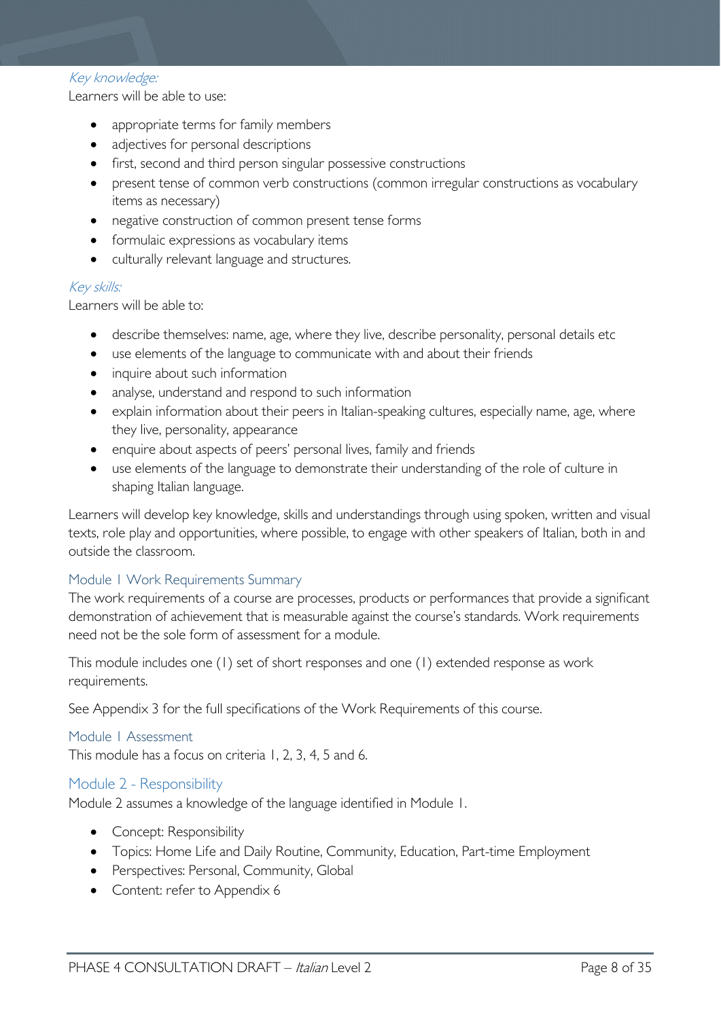#### Key knowledge:

Learners will be able to use:

- appropriate terms for family members
- adjectives for personal descriptions
- first, second and third person singular possessive constructions
- present tense of common verb constructions (common irregular constructions as vocabulary items as necessary)
- negative construction of common present tense forms
- formulaic expressions as vocabulary items
- culturally relevant language and structures.

#### Key skills:

Learners will be able to:

- describe themselves: name, age, where they live, describe personality, personal details etc
- use elements of the language to communicate with and about their friends
- inquire about such information
- analyse, understand and respond to such information
- explain information about their peers in Italian-speaking cultures, especially name, age, where they live, personality, appearance
- enquire about aspects of peers' personal lives, family and friends
- use elements of the language to demonstrate their understanding of the role of culture in shaping Italian language.

Learners will develop key knowledge, skills and understandings through using spoken, written and visual texts, role play and opportunities, where possible, to engage with other speakers of Italian, both in and outside the classroom.

## <span id="page-7-0"></span>Module 1 Work Requirements Summary

The work requirements of a course are processes, products or performances that provide a significant demonstration of achievement that is measurable against the course's standards. Work requirements need not be the sole form of assessment for a module.

This module includes one (1) set of short responses and one (1) extended response as work requirements.

See Appendix 3 for the full specifications of the Work Requirements of this course.

#### <span id="page-7-1"></span>Module 1 Assessment

This module has a focus on criteria 1, 2, 3, 4, 5 and 6.

#### <span id="page-7-2"></span>Module 2 - Responsibility

Module 2 assumes a knowledge of the language identified in Module 1.

- Concept: Responsibility
- Topics: Home Life and Daily Routine, Community, Education, Part-time Employment
- Perspectives: Personal, Community, Global
- Content: refer to Appendix 6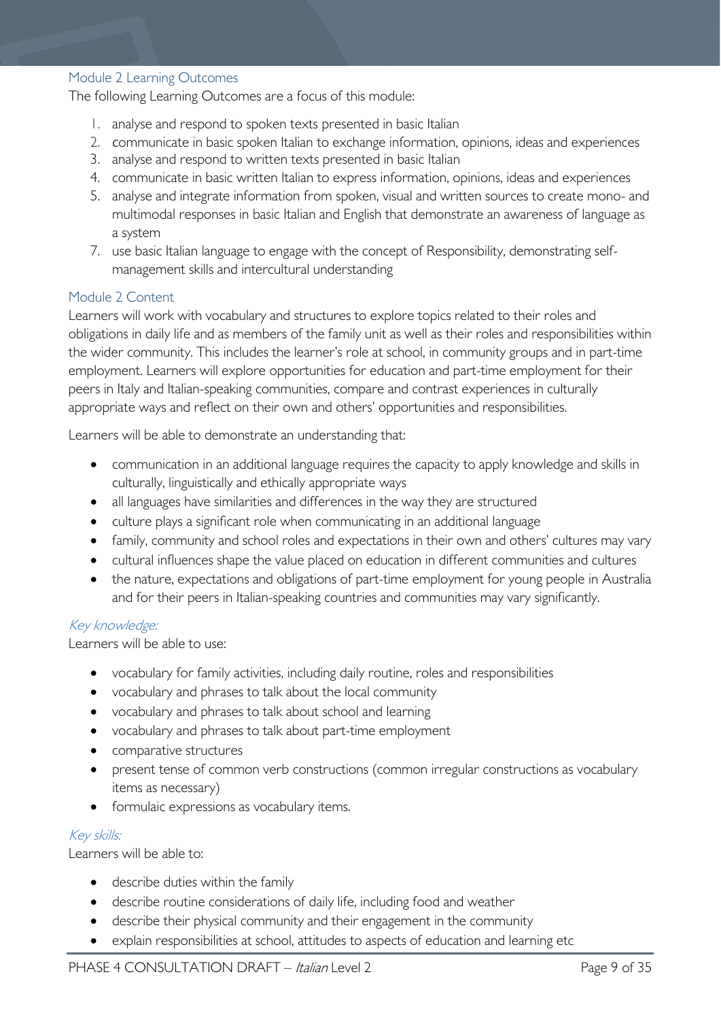#### <span id="page-8-0"></span>Module 2 Learning Outcomes

The following Learning Outcomes are a focus of this module:

- 1. analyse and respond to spoken texts presented in basic Italian
- 2. communicate in basic spoken Italian to exchange information, opinions, ideas and experiences
- 3. analyse and respond to written texts presented in basic Italian
- 4. communicate in basic written Italian to express information, opinions, ideas and experiences
- 5. analyse and integrate information from spoken, visual and written sources to create mono- and multimodal responses in basic Italian and English that demonstrate an awareness of language as a system
- 7. use basic Italian language to engage with the concept of Responsibility, demonstrating selfmanagement skills and intercultural understanding

## <span id="page-8-1"></span>Module 2 Content

Learners will work with vocabulary and structures to explore topics related to their roles and obligations in daily life and as members of the family unit as well as their roles and responsibilities within the wider community. This includes the learner's role at school, in community groups and in part-time employment. Learners will explore opportunities for education and part-time employment for their peers in Italy and Italian-speaking communities, compare and contrast experiences in culturally appropriate ways and reflect on their own and others' opportunities and responsibilities.

Learners will be able to demonstrate an understanding that:

- communication in an additional language requires the capacity to apply knowledge and skills in culturally, linguistically and ethically appropriate ways
- all languages have similarities and differences in the way they are structured
- culture plays a significant role when communicating in an additional language
- family, community and school roles and expectations in their own and others' cultures may vary
- cultural influences shape the value placed on education in different communities and cultures
- the nature, expectations and obligations of part-time employment for young people in Australia and for their peers in Italian-speaking countries and communities may vary significantly.

## Key knowledge:

Learners will be able to use:

- vocabulary for family activities, including daily routine, roles and responsibilities
- vocabulary and phrases to talk about the local community
- vocabulary and phrases to talk about school and learning
- vocabulary and phrases to talk about part-time employment
- comparative structures
- present tense of common verb constructions (common irregular constructions as vocabulary items as necessary)
- formulaic expressions as vocabulary items.

## Key skills:

Learners will be able to:

- describe duties within the family
- describe routine considerations of daily life, including food and weather
- describe their physical community and their engagement in the community
- explain responsibilities at school, attitudes to aspects of education and learning etc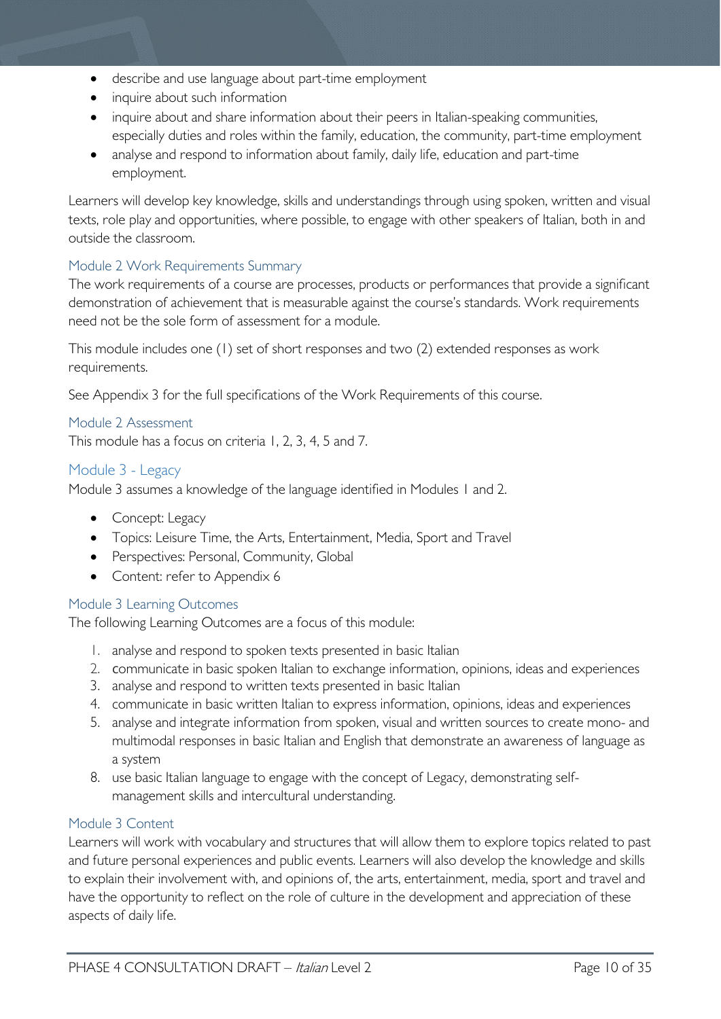- describe and use language about part-time employment
- inquire about such information
- inquire about and share information about their peers in Italian-speaking communities, especially duties and roles within the family, education, the community, part-time employment
- analyse and respond to information about family, daily life, education and part-time employment.

Learners will develop key knowledge, skills and understandings through using spoken, written and visual texts, role play and opportunities, where possible, to engage with other speakers of Italian, both in and outside the classroom.

# <span id="page-9-0"></span>Module 2 Work Requirements Summary

The work requirements of a course are processes, products or performances that provide a significant demonstration of achievement that is measurable against the course's standards. Work requirements need not be the sole form of assessment for a module.

This module includes one (1) set of short responses and two (2) extended responses as work requirements.

See Appendix 3 for the full specifications of the Work Requirements of this course.

## <span id="page-9-1"></span>Module 2 Assessment

This module has a focus on criteria 1, 2, 3, 4, 5 and 7.

## <span id="page-9-2"></span>Module 3 - Legacy

Module 3 assumes a knowledge of the language identified in Modules 1 and 2.

- Concept: Legacy
- Topics: Leisure Time, the Arts, Entertainment, Media, Sport and Travel
- Perspectives: Personal, Community, Global
- Content: refer to Appendix 6

## <span id="page-9-3"></span>Module 3 Learning Outcomes

The following Learning Outcomes are a focus of this module:

- 1. analyse and respond to spoken texts presented in basic Italian
- 2. communicate in basic spoken Italian to exchange information, opinions, ideas and experiences
- 3. analyse and respond to written texts presented in basic Italian
- 4. communicate in basic written Italian to express information, opinions, ideas and experiences
- 5. analyse and integrate information from spoken, visual and written sources to create mono- and multimodal responses in basic Italian and English that demonstrate an awareness of language as a system
- 8. use basic Italian language to engage with the concept of Legacy, demonstrating selfmanagement skills and intercultural understanding.

## <span id="page-9-4"></span>Module 3 Content

Learners will work with vocabulary and structures that will allow them to explore topics related to past and future personal experiences and public events. Learners will also develop the knowledge and skills to explain their involvement with, and opinions of, the arts, entertainment, media, sport and travel and have the opportunity to reflect on the role of culture in the development and appreciation of these aspects of daily life.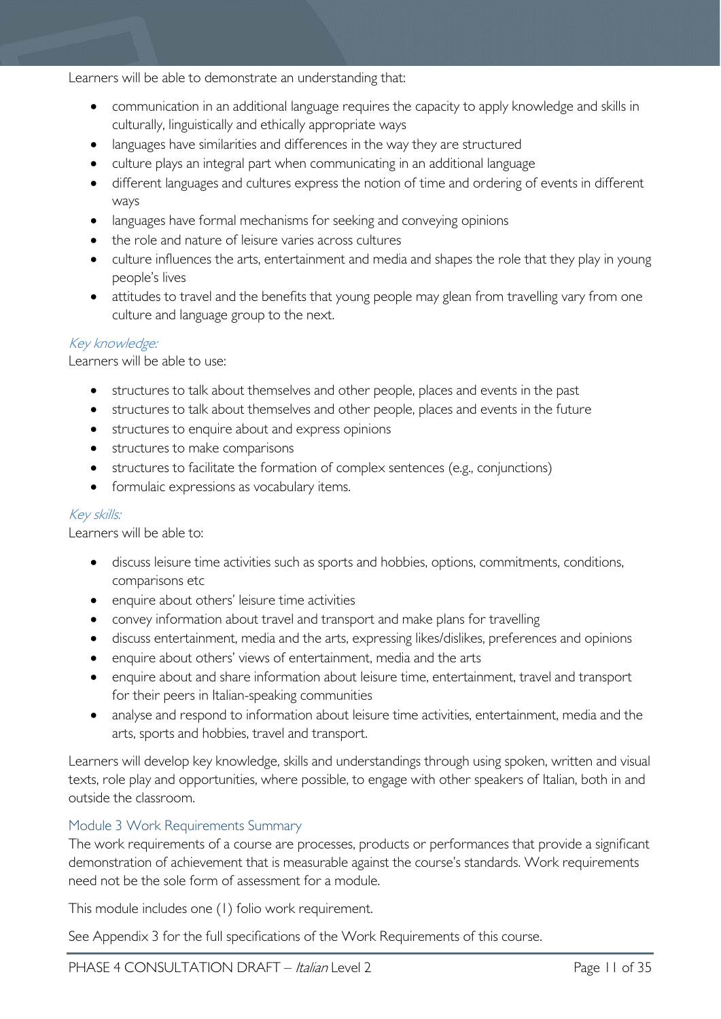Learners will be able to demonstrate an understanding that:

- communication in an additional language requires the capacity to apply knowledge and skills in culturally, linguistically and ethically appropriate ways
- languages have similarities and differences in the way they are structured
- culture plays an integral part when communicating in an additional language
- different languages and cultures express the notion of time and ordering of events in different ways
- languages have formal mechanisms for seeking and conveying opinions
- the role and nature of leisure varies across cultures
- culture influences the arts, entertainment and media and shapes the role that they play in young people's lives
- attitudes to travel and the benefits that young people may glean from travelling vary from one culture and language group to the next.

# Key knowledge:

Learners will be able to use:

- structures to talk about themselves and other people, places and events in the past
- structures to talk about themselves and other people, places and events in the future
- structures to enquire about and express opinions
- structures to make comparisons
- structures to facilitate the formation of complex sentences (e.g., conjunctions)
- formulaic expressions as vocabulary items.

#### Key skills:

Learners will be able to:

- discuss leisure time activities such as sports and hobbies, options, commitments, conditions, comparisons etc
- enquire about others' leisure time activities
- convey information about travel and transport and make plans for travelling
- discuss entertainment, media and the arts, expressing likes/dislikes, preferences and opinions
- enquire about others' views of entertainment, media and the arts
- enquire about and share information about leisure time, entertainment, travel and transport for their peers in Italian-speaking communities
- analyse and respond to information about leisure time activities, entertainment, media and the arts, sports and hobbies, travel and transport.

Learners will develop key knowledge, skills and understandings through using spoken, written and visual texts, role play and opportunities, where possible, to engage with other speakers of Italian, both in and outside the classroom.

## <span id="page-10-0"></span>Module 3 Work Requirements Summary

The work requirements of a course are processes, products or performances that provide a significant demonstration of achievement that is measurable against the course's standards. Work requirements need not be the sole form of assessment for a module.

This module includes one (1) folio work requirement.

See Appendix 3 for the full specifications of the Work Requirements of this course.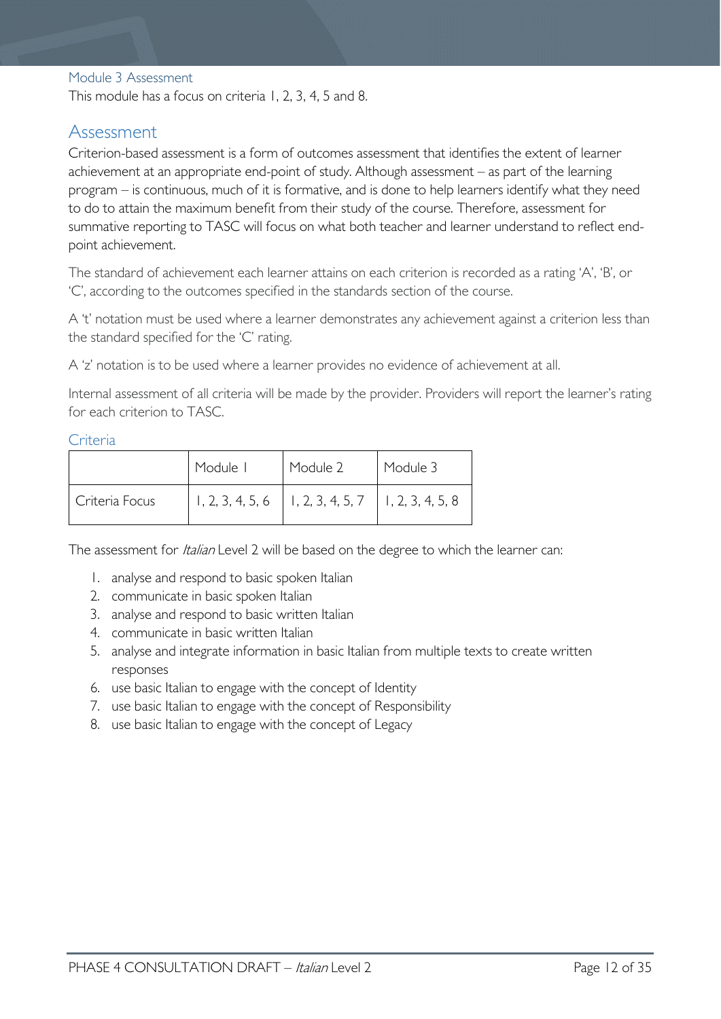#### <span id="page-11-0"></span>Module 3 Assessment

This module has a focus on criteria 1, 2, 3, 4, 5 and 8.

# <span id="page-11-1"></span>Assessment

Criterion-based assessment is a form of outcomes assessment that identifies the extent of learner achievement at an appropriate end-point of study. Although assessment – as part of the learning program – is continuous, much of it is formative, and is done to help learners identify what they need to do to attain the maximum benefit from their study of the course. Therefore, assessment for summative reporting to TASC will focus on what both teacher and learner understand to reflect endpoint achievement.

The standard of achievement each learner attains on each criterion is recorded as a rating 'A', 'B', or 'C', according to the outcomes specified in the standards section of the course.

A 't' notation must be used where a learner demonstrates any achievement against a criterion less than the standard specified for the 'C' rating.

A 'z' notation is to be used where a learner provides no evidence of achievement at all.

Internal assessment of all criteria will be made by the provider. Providers will report the learner's rating for each criterion to TASC.

#### <span id="page-11-2"></span>**Criteria**

|                | Module I | Module 2                                                 | Module 3 |
|----------------|----------|----------------------------------------------------------|----------|
| Criteria Focus |          | $1, 2, 3, 4, 5, 6$   1, 2, 3, 4, 5, 7   1, 2, 3, 4, 5, 8 |          |

The assessment for *Italian* Level 2 will be based on the degree to which the learner can:

- 1. analyse and respond to basic spoken Italian
- 2. communicate in basic spoken Italian
- 3. analyse and respond to basic written Italian
- 4. communicate in basic written Italian
- 5. analyse and integrate information in basic Italian from multiple texts to create written responses
- 6. use basic Italian to engage with the concept of Identity
- 7. use basic Italian to engage with the concept of Responsibility
- 8. use basic Italian to engage with the concept of Legacy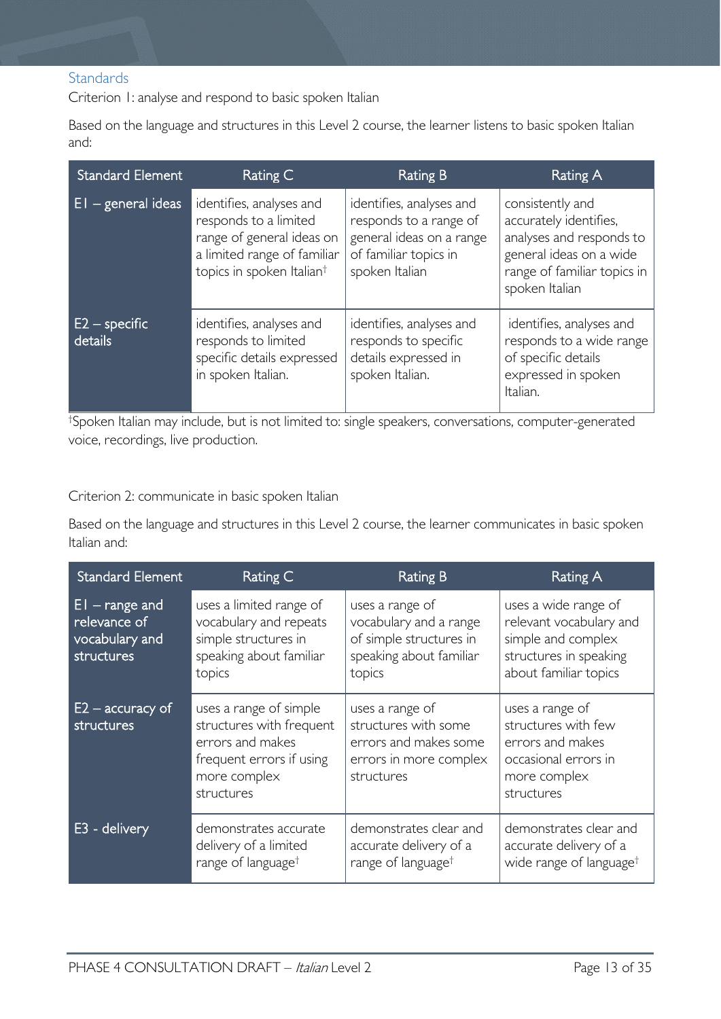# <span id="page-12-0"></span>**Standards**

Criterion 1: analyse and respond to basic spoken Italian

Based on the language and structures in this Level 2 course, the learner listens to basic spoken Italian and:

| <b>Standard Element</b>    | Rating C                                                                                                                                               | Rating B                                                                                                                  | Rating A                                                                                                                                           |
|----------------------------|--------------------------------------------------------------------------------------------------------------------------------------------------------|---------------------------------------------------------------------------------------------------------------------------|----------------------------------------------------------------------------------------------------------------------------------------------------|
| $EI - general$ ideas       | identifies, analyses and<br>responds to a limited<br>range of general ideas on<br>a limited range of familiar<br>topics in spoken Italian <sup>†</sup> | identifies, analyses and<br>responds to a range of<br>general ideas on a range<br>of familiar topics in<br>spoken Italian | consistently and<br>accurately identifies,<br>analyses and responds to<br>general ideas on a wide<br>range of familiar topics in<br>spoken Italian |
| $E2$ – specific<br>details | identifies, analyses and<br>responds to limited<br>specific details expressed<br>in spoken Italian.                                                    | identifies, analyses and<br>responds to specific<br>details expressed in<br>spoken Italian.                               | identifies, analyses and<br>responds to a wide range<br>of specific details<br>expressed in spoken<br>Italian.                                     |

† Spoken Italian may include, but is not limited to: single speakers, conversations, computer-generated voice, recordings, live production.

#### Criterion 2: communicate in basic spoken Italian

Based on the language and structures in this Level 2 course, the learner communicates in basic spoken Italian and:

| <b>Standard Element</b>                                           | Rating C                                                                                                                         | Rating B                                                                                                  | Rating A                                                                                                                 |
|-------------------------------------------------------------------|----------------------------------------------------------------------------------------------------------------------------------|-----------------------------------------------------------------------------------------------------------|--------------------------------------------------------------------------------------------------------------------------|
| $ E $ – range and<br>relevance of<br>vocabulary and<br>structures | uses a limited range of<br>vocabulary and repeats<br>simple structures in<br>speaking about familiar<br>topics                   | uses a range of<br>vocabulary and a range<br>of simple structures in<br>speaking about familiar<br>topics | uses a wide range of<br>relevant vocabulary and<br>simple and complex<br>structures in speaking<br>about familiar topics |
| $E2 - \text{accuracy of}$<br>structures                           | uses a range of simple<br>structures with frequent<br>errors and makes<br>frequent errors if using<br>more complex<br>structures | uses a range of<br>structures with some<br>errors and makes some<br>errors in more complex<br>structures  | uses a range of<br>structures with few<br>errors and makes<br>occasional errors in<br>more complex<br>structures         |
| E3 - delivery                                                     | demonstrates accurate<br>delivery of a limited<br>range of language <sup>†</sup>                                                 | demonstrates clear and<br>accurate delivery of a<br>range of language <sup>†</sup>                        | demonstrates clear and<br>accurate delivery of a<br>wide range of language <sup>†</sup>                                  |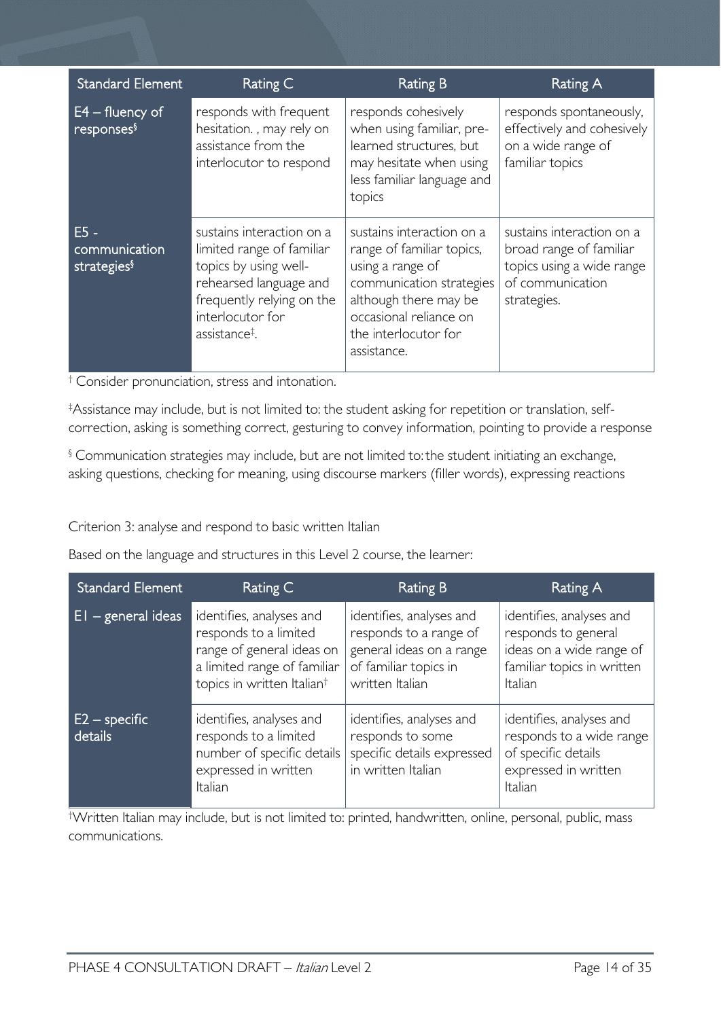| <b>Standard Element</b>                            | Rating C                                                                                                                                                                                | Rating B                                                                                                                                                                                         | <b>Rating A</b>                                                                                                      |
|----------------------------------------------------|-----------------------------------------------------------------------------------------------------------------------------------------------------------------------------------------|--------------------------------------------------------------------------------------------------------------------------------------------------------------------------------------------------|----------------------------------------------------------------------------------------------------------------------|
| $E4 -$ fluency of<br>responses <sup>§</sup>        | responds with frequent<br>hesitation., may rely on<br>assistance from the<br>interlocutor to respond                                                                                    | responds cohesively<br>when using familiar, pre-<br>learned structures, but<br>may hesitate when using<br>less familiar language and<br>topics                                                   | responds spontaneously,<br>effectively and cohesively<br>on a wide range of<br>familiar topics                       |
| $E5 -$<br>communication<br>strategies <sup>§</sup> | sustains interaction on a<br>limited range of familiar<br>topics by using well-<br>rehearsed language and<br>frequently relying on the<br>interlocutor for<br>assistance <sup>‡</sup> . | sustains interaction on a<br>range of familiar topics,<br>using a range of<br>communication strategies<br>although there may be<br>occasional reliance on<br>the interlocutor for<br>assistance. | sustains interaction on a<br>broad range of familiar<br>topics using a wide range<br>of communication<br>strategies. |

† Consider pronunciation, stress and intonation.

‡ Assistance may include, but is not limited to: the student asking for repetition or translation, selfcorrection, asking is something correct, gesturing to convey information, pointing to provide a response

§ Communication strategies may include, but are not limited to:the student initiating an exchange, asking questions, checking for meaning, using discourse markers (filler words), expressing reactions

Criterion 3: analyse and respond to basic written Italian

Based on the language and structures in this Level 2 course, the learner:

| <b>Standard Element</b>    | Rating C                                                                                                                                                | Rating B                                                                                                                   | Rating A                                                                                                             |
|----------------------------|---------------------------------------------------------------------------------------------------------------------------------------------------------|----------------------------------------------------------------------------------------------------------------------------|----------------------------------------------------------------------------------------------------------------------|
| $E1 - general ideas$       | identifies, analyses and<br>responds to a limited<br>range of general ideas on<br>a limited range of familiar<br>topics in written Italian <sup>†</sup> | identifies, analyses and<br>responds to a range of<br>general ideas on a range<br>of familiar topics in<br>written Italian | identifies, analyses and<br>responds to general<br>ideas on a wide range of<br>familiar topics in written<br>Italian |
| $E2$ – specific<br>details | identifies, analyses and<br>responds to a limited<br>number of specific details<br>expressed in written<br>Italian                                      | identifies, analyses and<br>responds to some<br>specific details expressed<br>in written Italian                           | identifies, analyses and<br>responds to a wide range<br>of specific details<br>expressed in written<br>Italian       |

† Written Italian may include, but is not limited to: printed, handwritten, online, personal, public, mass communications.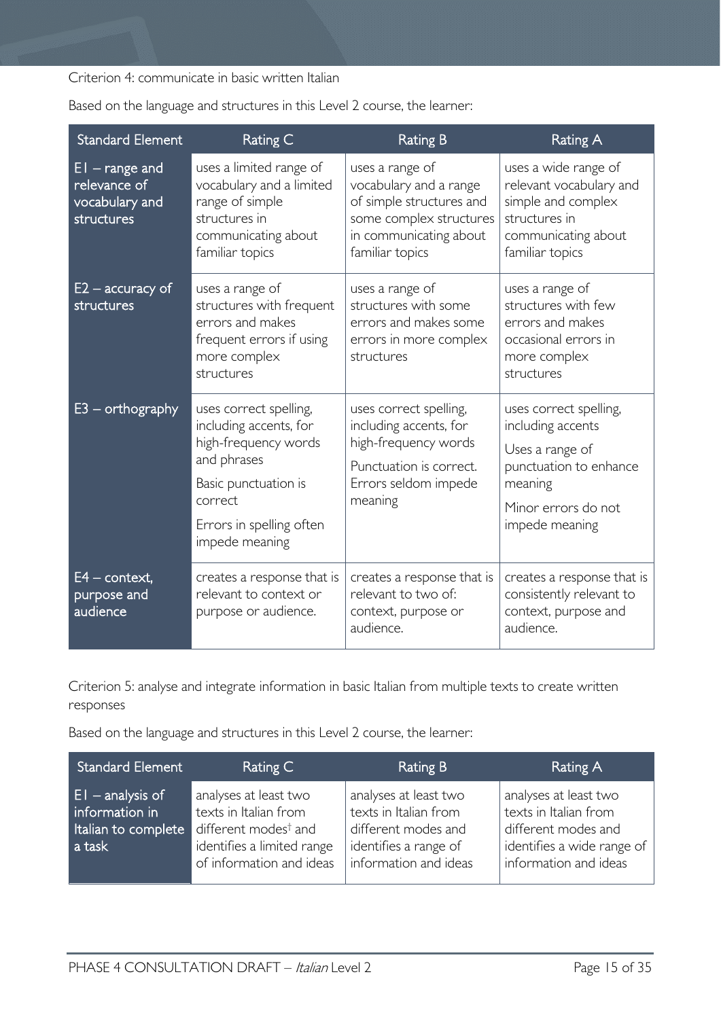Criterion 4: communicate in basic written Italian

| <b>Standard Element</b>                                          | Rating C                                                                                                                                                                 | <b>Rating B</b>                                                                                                                               | <b>Rating A</b>                                                                                                                              |
|------------------------------------------------------------------|--------------------------------------------------------------------------------------------------------------------------------------------------------------------------|-----------------------------------------------------------------------------------------------------------------------------------------------|----------------------------------------------------------------------------------------------------------------------------------------------|
| $EI$ – range and<br>relevance of<br>vocabulary and<br>structures | uses a limited range of<br>vocabulary and a limited<br>range of simple<br>structures in<br>communicating about<br>familiar topics                                        | uses a range of<br>vocabulary and a range<br>of simple structures and<br>some complex structures<br>in communicating about<br>familiar topics | uses a wide range of<br>relevant vocabulary and<br>simple and complex<br>structures in<br>communicating about<br>familiar topics             |
| $E2$ – accuracy of<br>structures                                 | uses a range of<br>structures with frequent<br>errors and makes<br>frequent errors if using<br>more complex<br>structures                                                | uses a range of<br>structures with some<br>errors and makes some<br>errors in more complex<br>structures                                      | uses a range of<br>structures with few<br>errors and makes<br>occasional errors in<br>more complex<br>structures                             |
| $E3$ – orthography                                               | uses correct spelling,<br>including accents, for<br>high-frequency words<br>and phrases<br>Basic punctuation is<br>correct<br>Errors in spelling often<br>impede meaning | uses correct spelling,<br>including accents, for<br>high-frequency words<br>Punctuation is correct.<br>Errors seldom impede<br>meaning        | uses correct spelling,<br>including accents<br>Uses a range of<br>punctuation to enhance<br>meaning<br>Minor errors do not<br>impede meaning |
| $E4$ – context,<br>purpose and<br>audience                       | creates a response that is<br>relevant to context or<br>purpose or audience.                                                                                             | creates a response that is<br>relevant to two of:<br>context, purpose or<br>audience.                                                         | creates a response that is<br>consistently relevant to<br>context, purpose and<br>audience.                                                  |

Based on the language and structures in this Level 2 course, the learner:

Criterion 5: analyse and integrate information in basic Italian from multiple texts to create written responses

Based on the language and structures in this Level 2 course, the learner:

| <b>Standard Element</b>                                                | Rating C                                                                                                                                     | Rating B                                                                                                                | <b>Rating A</b>                                                                                                              |
|------------------------------------------------------------------------|----------------------------------------------------------------------------------------------------------------------------------------------|-------------------------------------------------------------------------------------------------------------------------|------------------------------------------------------------------------------------------------------------------------------|
| $ E $ - analysis of<br>information in<br>Italian to complete<br>a task | analyses at least two<br>texts in Italian from<br>different modes <sup>†</sup> and<br>identifies a limited range<br>of information and ideas | analyses at least two<br>texts in Italian from<br>different modes and<br>identifies a range of<br>information and ideas | analyses at least two<br>texts in Italian from<br>different modes and<br>identifies a wide range of<br>information and ideas |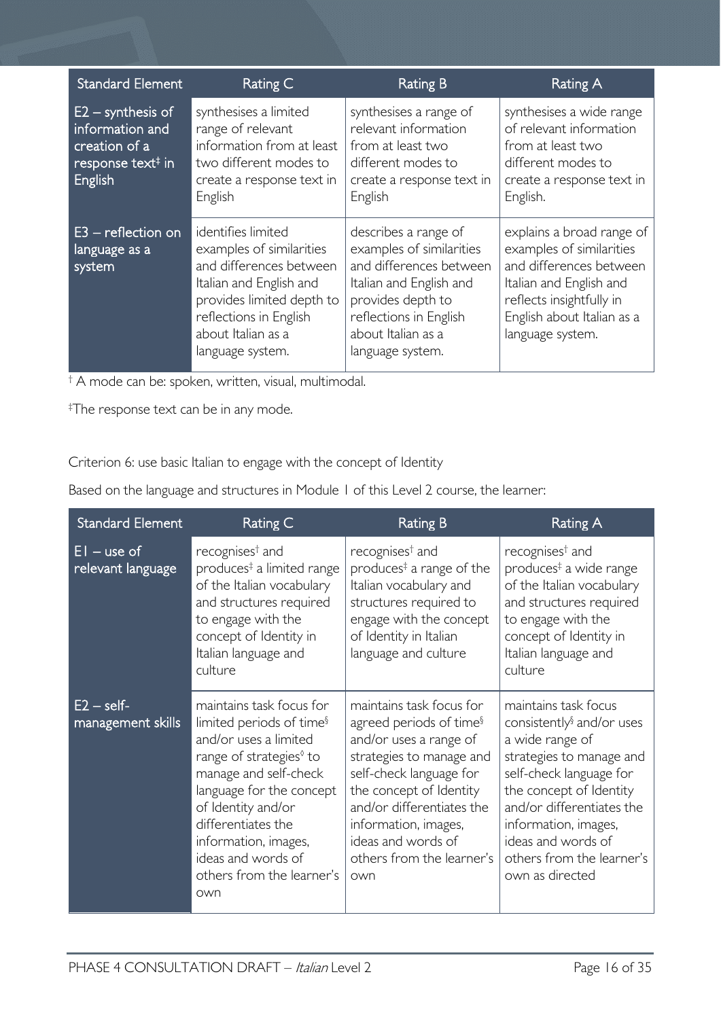| <b>Standard Element</b>                                                                             | Rating C                                                                                                                                                                                              | <b>Rating B</b>                                                                                                                                                                                 | Rating A                                                                                                                                                                                  |
|-----------------------------------------------------------------------------------------------------|-------------------------------------------------------------------------------------------------------------------------------------------------------------------------------------------------------|-------------------------------------------------------------------------------------------------------------------------------------------------------------------------------------------------|-------------------------------------------------------------------------------------------------------------------------------------------------------------------------------------------|
| $E2 -$ synthesis of<br>information and<br>creation of a<br>response text <sup>#</sup> in<br>English | synthesises a limited<br>range of relevant<br>information from at least<br>two different modes to<br>create a response text in<br>English                                                             | synthesises a range of<br>relevant information<br>from at least two<br>different modes to<br>create a response text in<br>English                                                               | synthesises a wide range<br>of relevant information<br>from at least two<br>different modes to<br>create a response text in<br>English.                                                   |
| $E3$ – reflection on<br>language as a<br>system                                                     | identifies limited<br>examples of similarities<br>and differences between<br>Italian and English and<br>provides limited depth to<br>reflections in English<br>about Italian as a<br>language system. | describes a range of<br>examples of similarities<br>and differences between<br>Italian and English and<br>provides depth to<br>reflections in English<br>about Italian as a<br>language system. | explains a broad range of<br>examples of similarities<br>and differences between<br>Italian and English and<br>reflects insightfully in<br>English about Italian as a<br>language system. |

† A mode can be: spoken, written, visual, multimodal.

‡ The response text can be in any mode.

Criterion 6: use basic Italian to engage with the concept of Identity

Based on the language and structures in Module 1 of this Level 2 course, the learner:

| <b>Standard Element</b>            | Rating C                                                                                                                                                                                                                                                                                                            | <b>Rating B</b>                                                                                                                                                                                                                                                                            | <b>Rating A</b>                                                                                                                                                                                                                                                                               |
|------------------------------------|---------------------------------------------------------------------------------------------------------------------------------------------------------------------------------------------------------------------------------------------------------------------------------------------------------------------|--------------------------------------------------------------------------------------------------------------------------------------------------------------------------------------------------------------------------------------------------------------------------------------------|-----------------------------------------------------------------------------------------------------------------------------------------------------------------------------------------------------------------------------------------------------------------------------------------------|
| $EI - use of$<br>relevant language | recognises <sup>†</sup> and<br>produces <sup>‡</sup> a limited range<br>of the Italian vocabulary<br>and structures required<br>to engage with the<br>concept of Identity in<br>Italian language and<br>culture                                                                                                     | recognises <sup>†</sup> and<br>produces <sup><math>‡ a range of the</math><br/>Italian vocabulary and<br/>structures required to<br/>engage with the concept<br/>of Identity in Italian<br/>language and culture</sup>                                                                     | recognises <sup>†</sup> and<br>produces <sup>‡</sup> a wide range<br>of the Italian vocabulary<br>and structures required<br>to engage with the<br>concept of Identity in<br>Italian language and<br>culture                                                                                  |
| $E2 - self$<br>management skills   | maintains task focus for<br>limited periods of time <sup>§</sup><br>and/or uses a limited<br>range of strategies <sup>®</sup> to<br>manage and self-check<br>language for the concept<br>of Identity and/or<br>differentiates the<br>information, images,<br>ideas and words of<br>others from the learner's<br>own | maintains task focus for<br>agreed periods of time <sup>§</sup><br>and/or uses a range of<br>strategies to manage and<br>self-check language for<br>the concept of Identity<br>and/or differentiates the<br>information, images,<br>ideas and words of<br>others from the learner's<br>own | maintains task focus<br>consistently <sup>§</sup> and/or uses<br>a wide range of<br>strategies to manage and<br>self-check language for<br>the concept of Identity<br>and/or differentiates the<br>information, images,<br>ideas and words of<br>others from the learner's<br>own as directed |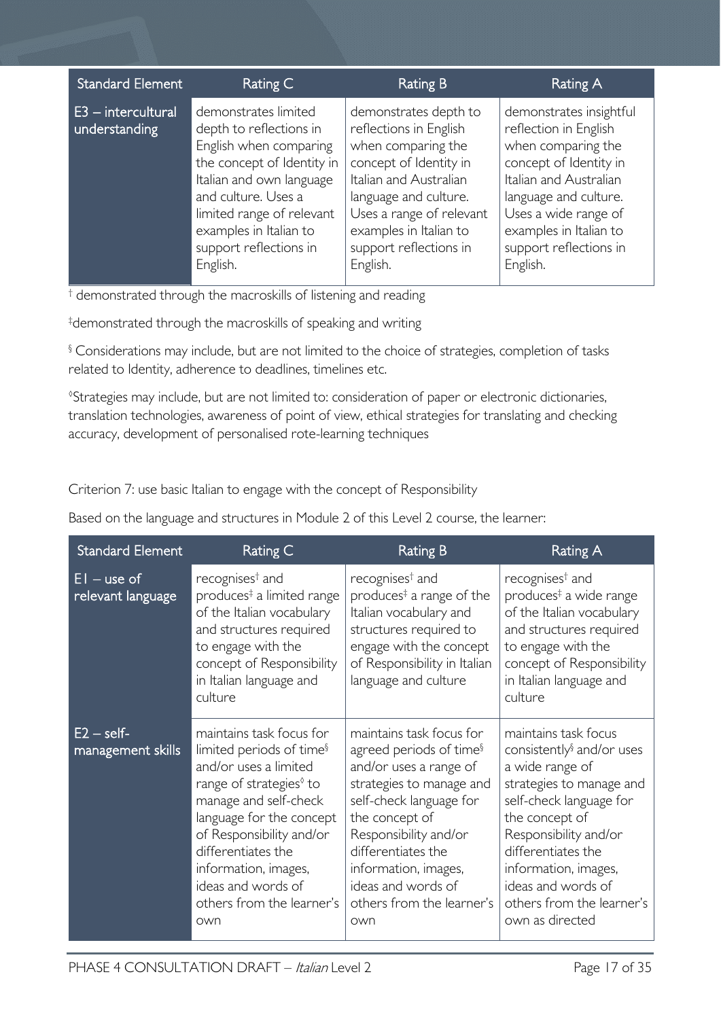| <b>Standard Element</b>               | Rating C                                                                                                                                                                                                                                                | Rating B                                                                                                                                                                                                                                       | Rating A                                                                                                                                                                                                                                    |
|---------------------------------------|---------------------------------------------------------------------------------------------------------------------------------------------------------------------------------------------------------------------------------------------------------|------------------------------------------------------------------------------------------------------------------------------------------------------------------------------------------------------------------------------------------------|---------------------------------------------------------------------------------------------------------------------------------------------------------------------------------------------------------------------------------------------|
| $E3$ - intercultural<br>understanding | demonstrates limited<br>depth to reflections in<br>English when comparing<br>the concept of Identity in<br>Italian and own language<br>and culture. Uses a<br>limited range of relevant<br>examples in Italian to<br>support reflections in<br>English. | demonstrates depth to<br>reflections in English<br>when comparing the<br>concept of Identity in<br>Italian and Australian<br>language and culture.<br>Uses a range of relevant<br>examples in Italian to<br>support reflections in<br>English. | demonstrates insightful<br>reflection in English<br>when comparing the<br>concept of Identity in<br>Italian and Australian<br>language and culture.<br>Uses a wide range of<br>examples in Italian to<br>support reflections in<br>English. |

<sup>†</sup> demonstrated through the macroskills of listening and reading

‡ demonstrated through the macroskills of speaking and writing

§ Considerations may include, but are not limited to the choice of strategies, completion of tasks related to Identity, adherence to deadlines, timelines etc.

◊ Strategies may include, but are not limited to: consideration of paper or electronic dictionaries, translation technologies, awareness of point of view, ethical strategies for translating and checking accuracy, development of personalised rote-learning techniques

Criterion 7: use basic Italian to engage with the concept of Responsibility

Based on the language and structures in Module 2 of this Level 2 course, the learner:

| <b>Standard Element</b>            | Rating C                                                                                                                                                                                                                                                                                                                  | <b>Rating B</b>                                                                                                                                                                                                                                                                                     | Rating A                                                                                                                                                                                                                                                                                               |
|------------------------------------|---------------------------------------------------------------------------------------------------------------------------------------------------------------------------------------------------------------------------------------------------------------------------------------------------------------------------|-----------------------------------------------------------------------------------------------------------------------------------------------------------------------------------------------------------------------------------------------------------------------------------------------------|--------------------------------------------------------------------------------------------------------------------------------------------------------------------------------------------------------------------------------------------------------------------------------------------------------|
| $EI - use of$<br>relevant language | recognises <sup>†</sup> and<br>produces <sup>‡</sup> a limited range<br>of the Italian vocabulary<br>and structures required<br>to engage with the<br>concept of Responsibility<br>in Italian language and<br>culture                                                                                                     | recognises <sup>†</sup> and<br>produces <sup>‡</sup> a range of the<br>Italian vocabulary and<br>structures required to<br>engage with the concept<br>of Responsibility in Italian<br>language and culture                                                                                          | recognises <sup>†</sup> and<br>produces <sup>‡</sup> a wide range<br>of the Italian vocabulary<br>and structures required<br>to engage with the<br>concept of Responsibility<br>in Italian language and<br>culture                                                                                     |
| $E2 - self$<br>management skills   | maintains task focus for<br>limited periods of time <sup>§</sup><br>and/or uses a limited<br>range of strategies <sup>®</sup> to<br>manage and self-check<br>language for the concept<br>of Responsibility and/or<br>differentiates the<br>information, images,<br>ideas and words of<br>others from the learner's<br>own | maintains task focus for<br>agreed periods of time <sup>§</sup><br>and/or uses a range of<br>strategies to manage and<br>self-check language for<br>the concept of<br>Responsibility and/or<br>differentiates the<br>information, images,<br>ideas and words of<br>others from the learner's<br>own | maintains task focus<br>consistently <sup>§</sup> and/or uses<br>a wide range of<br>strategies to manage and<br>self-check language for<br>the concept of<br>Responsibility and/or<br>differentiates the<br>information, images,<br>ideas and words of<br>others from the learner's<br>own as directed |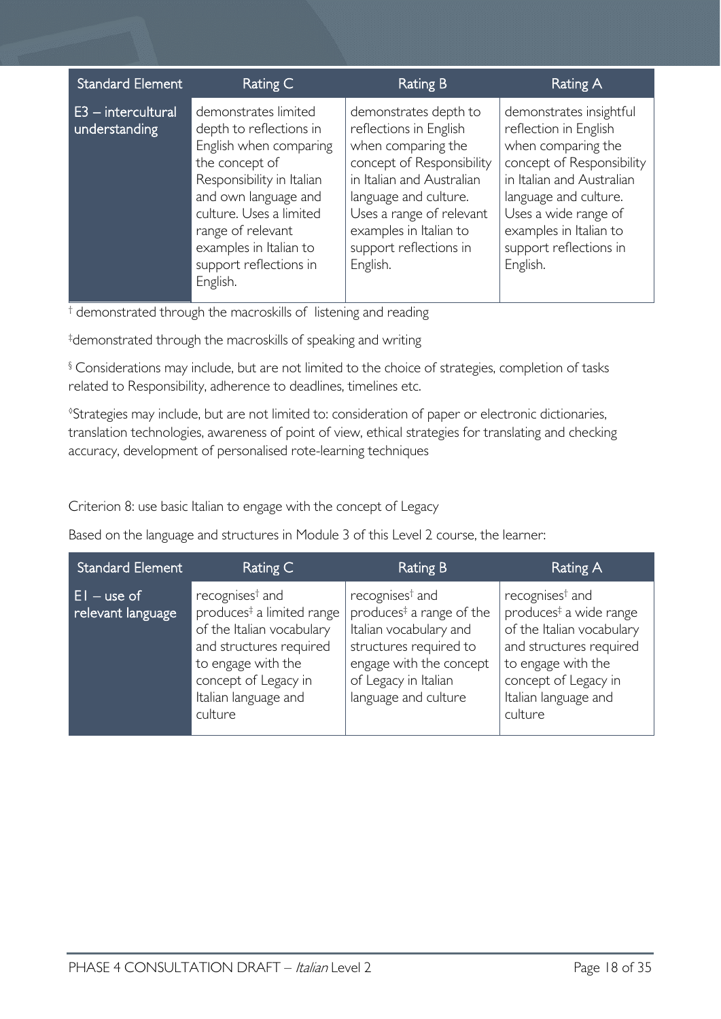| <b>Standard Element</b>             | Rating C                                                                                                                                                                                                                                                         | Rating B                                                                                                                                                                                                                                             | Rating A                                                                                                                                                                                                                                          |
|-------------------------------------|------------------------------------------------------------------------------------------------------------------------------------------------------------------------------------------------------------------------------------------------------------------|------------------------------------------------------------------------------------------------------------------------------------------------------------------------------------------------------------------------------------------------------|---------------------------------------------------------------------------------------------------------------------------------------------------------------------------------------------------------------------------------------------------|
| E3 - intercultural<br>understanding | demonstrates limited<br>depth to reflections in<br>English when comparing<br>the concept of<br>Responsibility in Italian<br>and own language and<br>culture. Uses a limited<br>range of relevant<br>examples in Italian to<br>support reflections in<br>English. | demonstrates depth to<br>reflections in English<br>when comparing the<br>concept of Responsibility<br>in Italian and Australian<br>language and culture.<br>Uses a range of relevant<br>examples in Italian to<br>support reflections in<br>English. | demonstrates insightful<br>reflection in English<br>when comparing the<br>concept of Responsibility<br>in Italian and Australian<br>language and culture.<br>Uses a wide range of<br>examples in Italian to<br>support reflections in<br>English. |

† demonstrated through the macroskills of listening and reading

‡ demonstrated through the macroskills of speaking and writing

§ Considerations may include, but are not limited to the choice of strategies, completion of tasks related to Responsibility, adherence to deadlines, timelines etc.

◊ Strategies may include, but are not limited to: consideration of paper or electronic dictionaries, translation technologies, awareness of point of view, ethical strategies for translating and checking accuracy, development of personalised rote-learning techniques

Criterion 8: use basic Italian to engage with the concept of Legacy

Based on the language and structures in Module 3 of this Level 2 course, the learner:

| <b>Standard Element</b>             | Rating C                                                                                                                                                                                                      | Rating B                                                                                                                                                                                           | Rating A                                                                                                                                                                                                   |
|-------------------------------------|---------------------------------------------------------------------------------------------------------------------------------------------------------------------------------------------------------------|----------------------------------------------------------------------------------------------------------------------------------------------------------------------------------------------------|------------------------------------------------------------------------------------------------------------------------------------------------------------------------------------------------------------|
| $ E $ – use of<br>relevant language | recognises <sup>†</sup> and<br>produces <sup>‡</sup> a limited range<br>of the Italian vocabulary<br>and structures required<br>to engage with the<br>concept of Legacy in<br>Italian language and<br>culture | recognises <sup>†</sup> and<br>produces <sup>‡</sup> a range of the<br>Italian vocabulary and<br>structures required to<br>engage with the concept<br>of Legacy in Italian<br>language and culture | recognises <sup>†</sup> and<br>produces <sup>#</sup> a wide range<br>of the Italian vocabulary<br>and structures required<br>to engage with the<br>concept of Legacy in<br>Italian language and<br>culture |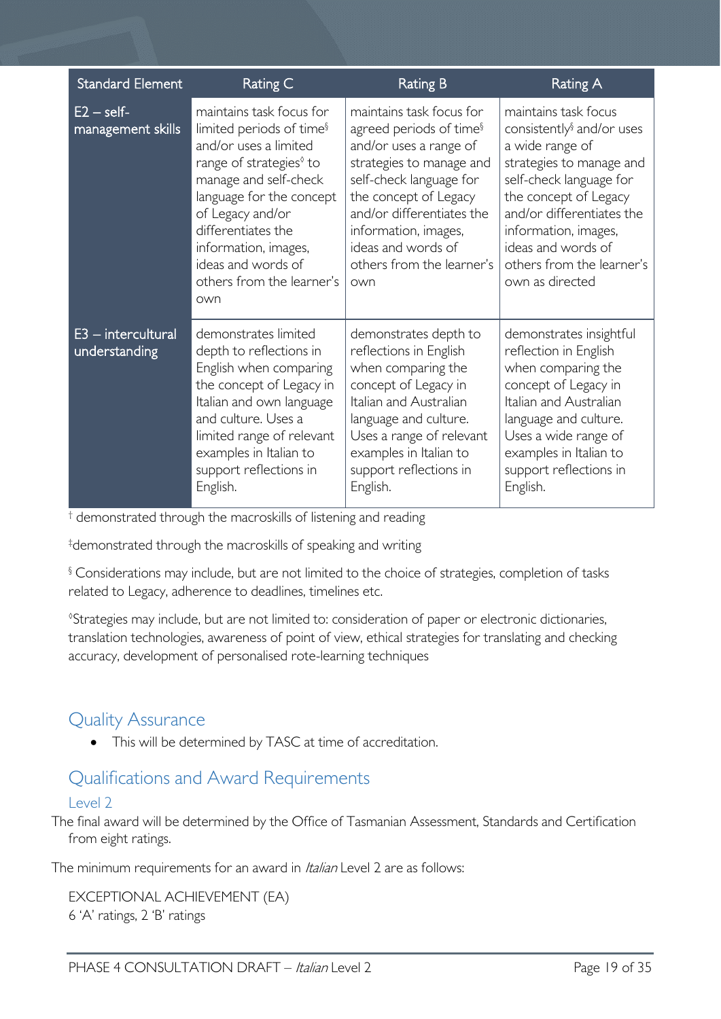| <b>Standard Element</b>               | Rating C                                                                                                                                                                                                                                                                                                          | <b>Rating B</b>                                                                                                                                                                                                                                                                          | <b>Rating A</b>                                                                                                                                                                                                                                                                             |
|---------------------------------------|-------------------------------------------------------------------------------------------------------------------------------------------------------------------------------------------------------------------------------------------------------------------------------------------------------------------|------------------------------------------------------------------------------------------------------------------------------------------------------------------------------------------------------------------------------------------------------------------------------------------|---------------------------------------------------------------------------------------------------------------------------------------------------------------------------------------------------------------------------------------------------------------------------------------------|
| $E2 - self$<br>management skills      | maintains task focus for<br>limited periods of time <sup>§</sup><br>and/or uses a limited<br>range of strategies <sup>0</sup> to<br>manage and self-check<br>language for the concept<br>of Legacy and/or<br>differentiates the<br>information, images,<br>ideas and words of<br>others from the learner's<br>own | maintains task focus for<br>agreed periods of time <sup>§</sup><br>and/or uses a range of<br>strategies to manage and<br>self-check language for<br>the concept of Legacy<br>and/or differentiates the<br>information, images,<br>ideas and words of<br>others from the learner's<br>own | maintains task focus<br>consistently <sup>§</sup> and/or uses<br>a wide range of<br>strategies to manage and<br>self-check language for<br>the concept of Legacy<br>and/or differentiates the<br>information, images,<br>ideas and words of<br>others from the learner's<br>own as directed |
| $E3$ – intercultural<br>understanding | demonstrates limited<br>depth to reflections in<br>English when comparing<br>the concept of Legacy in<br>Italian and own language<br>and culture. Uses a<br>limited range of relevant<br>examples in Italian to<br>support reflections in<br>English.                                                             | demonstrates depth to<br>reflections in English<br>when comparing the<br>concept of Legacy in<br>Italian and Australian<br>language and culture.<br>Uses a range of relevant<br>examples in Italian to<br>support reflections in<br>English.                                             | demonstrates insightful<br>reflection in English<br>when comparing the<br>concept of Legacy in<br>Italian and Australian<br>language and culture.<br>Uses a wide range of<br>examples in Italian to<br>support reflections in<br>English.                                                   |

† demonstrated through the macroskills of listening and reading

‡ demonstrated through the macroskills of speaking and writing

§ Considerations may include, but are not limited to the choice of strategies, completion of tasks related to Legacy, adherence to deadlines, timelines etc.

◊ Strategies may include, but are not limited to: consideration of paper or electronic dictionaries, translation technologies, awareness of point of view, ethical strategies for translating and checking accuracy, development of personalised rote-learning techniques

# <span id="page-18-0"></span>Quality Assurance

• This will be determined by TASC at time of accreditation.

# <span id="page-18-1"></span>Qualifications and Award Requirements

# <span id="page-18-2"></span> $|P|$

The final award will be determined by the Office of Tasmanian Assessment, Standards and Certification from eight ratings.

The minimum requirements for an award in Italian Level 2 are as follows:

EXCEPTIONAL ACHIEVEMENT (EA) 6 'A' ratings, 2 'B' ratings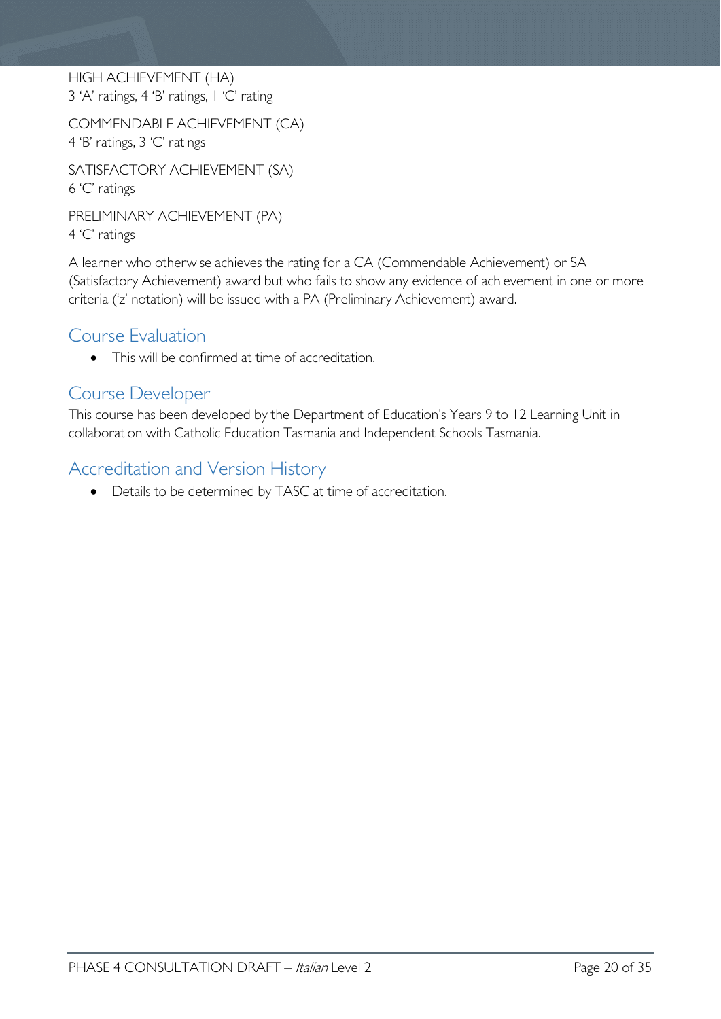HIGH ACHIEVEMENT (HA) 3 'A' ratings, 4 'B' ratings, 1 'C' rating

COMMENDABLE ACHIEVEMENT (CA) 4 'B' ratings, 3 'C' ratings

SATISFACTORY ACHIEVEMENT (SA) 6 'C' ratings

PRELIMINARY ACHIEVEMENT (PA) 4 'C' ratings

A learner who otherwise achieves the rating for a CA (Commendable Achievement) or SA (Satisfactory Achievement) award but who fails to show any evidence of achievement in one or more criteria ('z' notation) will be issued with a PA (Preliminary Achievement) award.

# <span id="page-19-0"></span>Course Evaluation

• This will be confirmed at time of accreditation.

# <span id="page-19-1"></span>Course Developer

This course has been developed by the Department of Education's Years 9 to 12 Learning Unit in collaboration with Catholic Education Tasmania and Independent Schools Tasmania.

# <span id="page-19-2"></span>Accreditation and Version History

• Details to be determined by TASC at time of accreditation.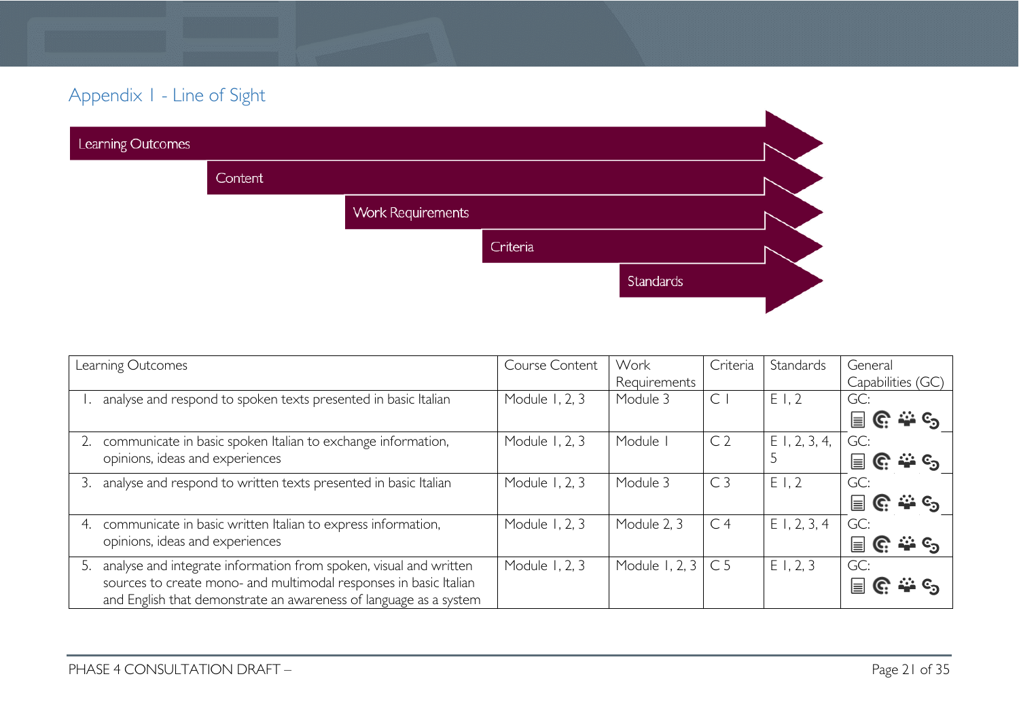# Appendix 1 - Line of Sight

| Learning Outcomes |         |                          |          |           |  |
|-------------------|---------|--------------------------|----------|-----------|--|
|                   | Content |                          |          |           |  |
|                   |         | <b>Work Requirements</b> |          |           |  |
|                   |         |                          | Criteria |           |  |
|                   |         |                          |          | Standards |  |
|                   |         |                          |          |           |  |

<span id="page-20-0"></span>

| Learning Outcomes                                                       | Course Content | Work                      | Criteria       | Standards       | General                    |
|-------------------------------------------------------------------------|----------------|---------------------------|----------------|-----------------|----------------------------|
|                                                                         |                | Requirements              |                |                 | Capabilities (GC)          |
| analyse and respond to spoken texts presented in basic Italian          | Module 1, 2, 3 | Module 3                  | $\subset$      | E1,2            | GC:                        |
|                                                                         |                |                           |                |                 | $C_1 \rightarrow C_2$<br>冒 |
| communicate in basic spoken Italian to exchange information,            | Module 1, 2, 3 | Module                    | C <sub>2</sub> | $E$ 1, 2, 3, 4, | GC:                        |
| opinions, ideas and experiences                                         |                |                           |                |                 | ే లే<br>C.<br>⊫            |
| analyse and respond to written texts presented in basic Italian         | Module 1, 2, 3 | Module 3                  | C <sub>3</sub> | E1,2            | GC:                        |
|                                                                         |                |                           |                |                 | <u>. ಎಂ</u><br>冒<br>C.     |
| communicate in basic written Italian to express information,<br>4.      | Module 1, 2, 3 | Module 2, 3               | C <sub>4</sub> | $E$ 1, 2, 3, 4  | GC:                        |
| opinions, ideas and experiences                                         |                |                           |                |                 | <u>. స</u> ం<br>⊫<br>G     |
| analyse and integrate information from spoken, visual and written<br>5. | Module 1, 2, 3 | Module 1, 2, $3 \mid C$ 5 |                | E1, 2, 3        | GC:                        |
| sources to create mono- and multimodal responses in basic Italian       |                |                           |                |                 | ၉ ေနေ<br>≣                 |
| and English that demonstrate an awareness of language as a system       |                |                           |                |                 |                            |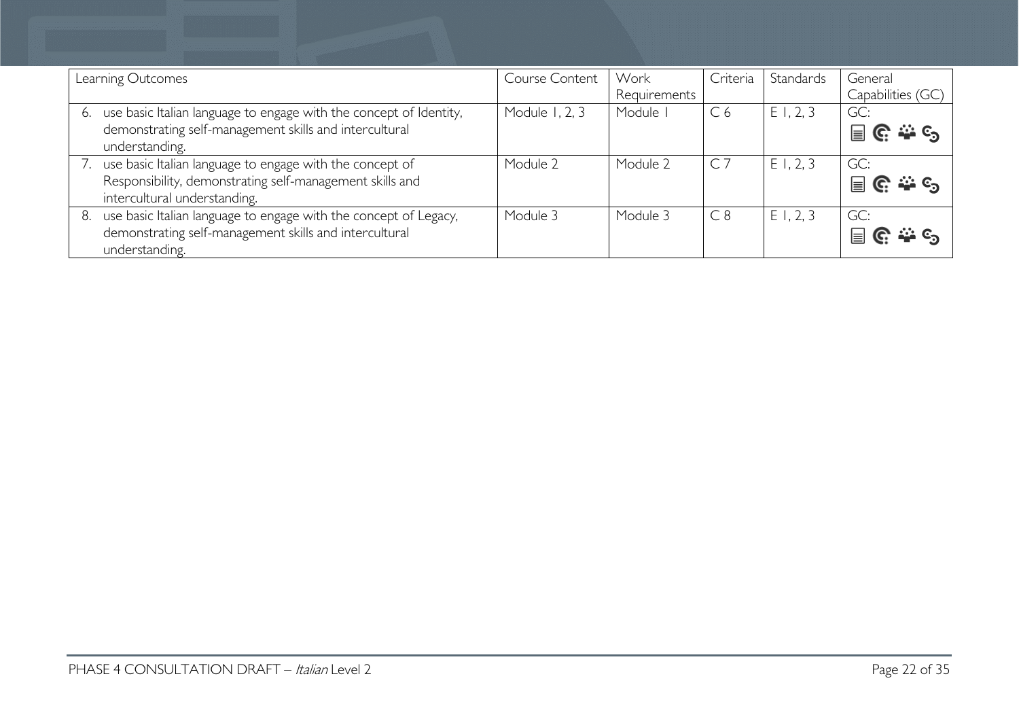| Learning Outcomes                                                                                                                                    | Course Content | Work<br>Requirements | Criteria       | Standards | General<br>Capabilities (GC) |
|------------------------------------------------------------------------------------------------------------------------------------------------------|----------------|----------------------|----------------|-----------|------------------------------|
| use basic Italian language to engage with the concept of Identity,<br>6.<br>demonstrating self-management skills and intercultural<br>understanding. | Module 1, 2, 3 | Module               | C <sub>6</sub> | E1, 2, 3  | GC:<br>၉ ေန<br>$\equiv$      |
| use basic Italian language to engage with the concept of<br>Responsibility, demonstrating self-management skills and<br>intercultural understanding. | Module 2       | Module 2             | $\mathsf{C}$   | E1, 2, 3  | GC:<br>冒<br><u>၉ ႏ ၄</u>     |
| use basic Italian language to engage with the concept of Legacy,<br>8.<br>demonstrating self-management skills and intercultural<br>understanding.   | Module 3       | Module 3             | C8             | E1, 2, 3  | GC:<br>$\equiv$              |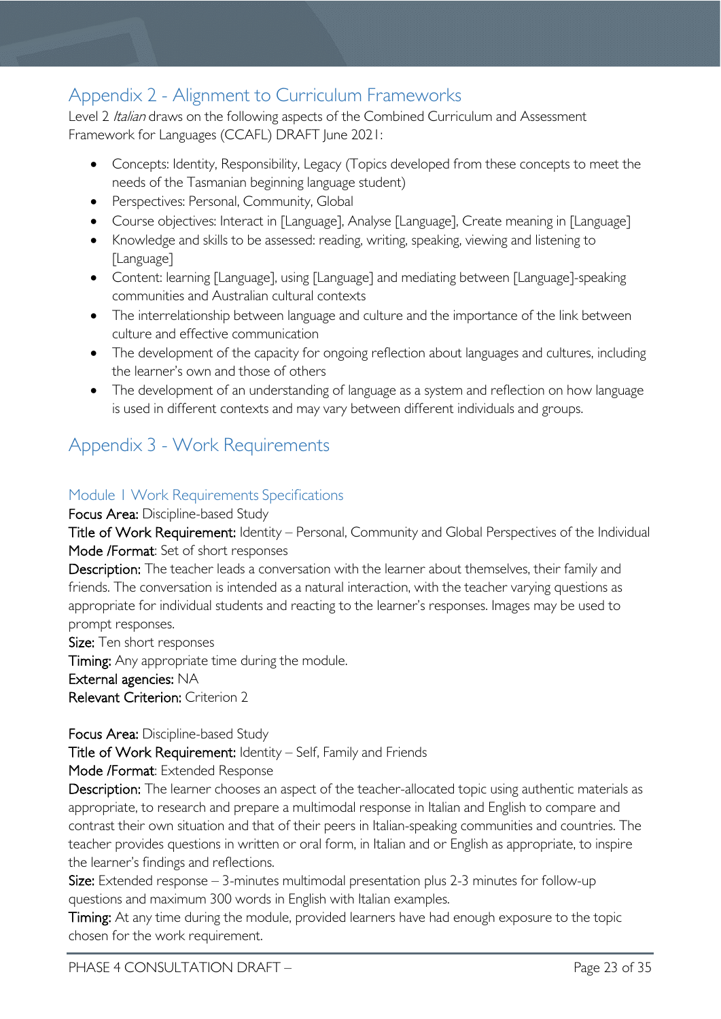# <span id="page-22-0"></span>Appendix 2 - Alignment to Curriculum Frameworks

Level 2 Italian draws on the following aspects of the Combined Curriculum and Assessment Framework for Languages (CCAFL) DRAFT June 2021:

- Concepts: Identity, Responsibility, Legacy (Topics developed from these concepts to meet the needs of the Tasmanian beginning language student)
- Perspectives: Personal, Community, Global
- Course objectives: Interact in [Language], Analyse [Language], Create meaning in [Language]
- Knowledge and skills to be assessed: reading, writing, speaking, viewing and listening to [Language]
- Content: learning [Language], using [Language] and mediating between [Language]-speaking communities and Australian cultural contexts
- The interrelationship between language and culture and the importance of the link between culture and effective communication
- The development of the capacity for ongoing reflection about languages and cultures, including the learner's own and those of others
- The development of an understanding of language as a system and reflection on how language is used in different contexts and may vary between different individuals and groups.

# <span id="page-22-1"></span>Appendix 3 - Work Requirements

# <span id="page-22-2"></span>Module 1 Work Requirements Specifications

Focus Area: Discipline-based Study

Title of Work Requirement: Identity – Personal, Community and Global Perspectives of the Individual Mode /Format: Set of short responses

Description: The teacher leads a conversation with the learner about themselves, their family and friends. The conversation is intended as a natural interaction, with the teacher varying questions as appropriate for individual students and reacting to the learner's responses. Images may be used to prompt responses.

Size: Ten short responses

Timing: Any appropriate time during the module.

External agencies: NA

Relevant Criterion: Criterion 2

# Focus Area: Discipline-based Study

Title of Work Requirement: Identity – Self, Family and Friends

Mode /Format: Extended Response

Description: The learner chooses an aspect of the teacher-allocated topic using authentic materials as appropriate, to research and prepare a multimodal response in Italian and English to compare and contrast their own situation and that of their peers in Italian-speaking communities and countries. The teacher provides questions in written or oral form, in Italian and or English as appropriate, to inspire the learner's findings and reflections.

Size: Extended response – 3-minutes multimodal presentation plus 2-3 minutes for follow-up questions and maximum 300 words in English with Italian examples.

Timing: At any time during the module, provided learners have had enough exposure to the topic chosen for the work requirement.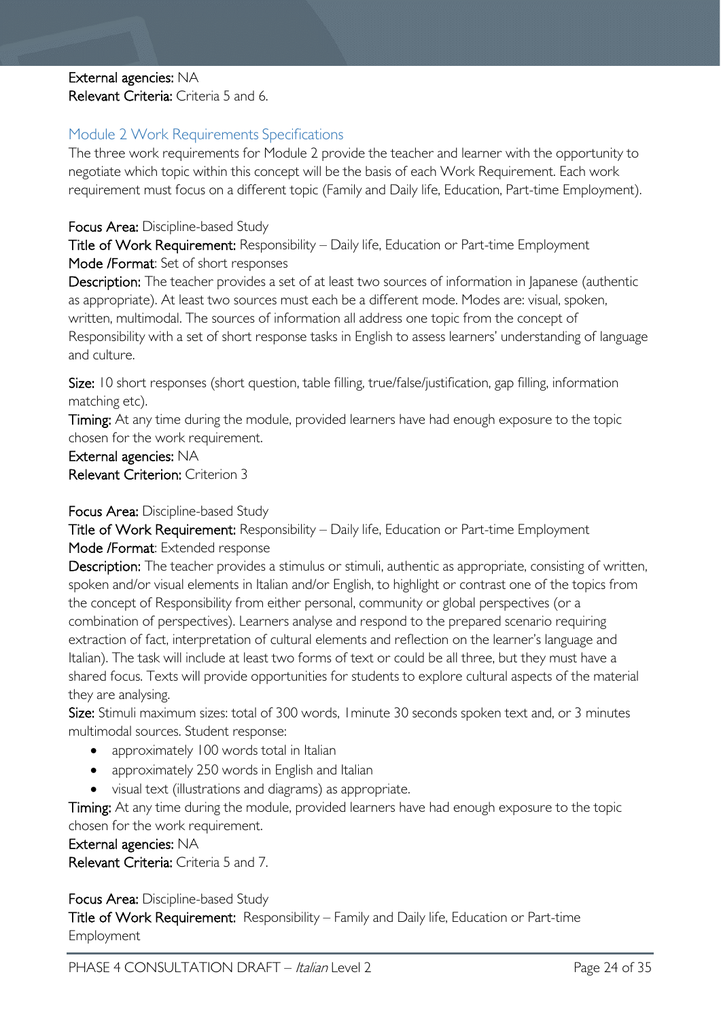# External agencies: NA Relevant Criteria: Criteria 5 and 6.

# <span id="page-23-0"></span>Module 2 Work Requirements Specifications

The three work requirements for Module 2 provide the teacher and learner with the opportunity to negotiate which topic within this concept will be the basis of each Work Requirement. Each work requirement must focus on a different topic (Family and Daily life, Education, Part-time Employment).

## Focus Area: Discipline-based Study

Title of Work Requirement: Responsibility – Daily life, Education or Part-time Employment Mode /Format: Set of short responses

Description: The teacher provides a set of at least two sources of information in Japanese (authentic as appropriate). At least two sources must each be a different mode. Modes are: visual, spoken, written, multimodal. The sources of information all address one topic from the concept of Responsibility with a set of short response tasks in English to assess learners' understanding of language and culture.

Size: 10 short responses (short question, table filling, true/false/justification, gap filling, information matching etc).

Timing: At any time during the module, provided learners have had enough exposure to the topic chosen for the work requirement.

External agencies: NA Relevant Criterion: Criterion 3

## Focus Area: Discipline-based Study

Title of Work Requirement: Responsibility – Daily life, Education or Part-time Employment Mode /Format: Extended response

Description: The teacher provides a stimulus or stimuli, authentic as appropriate, consisting of written, spoken and/or visual elements in Italian and/or English, to highlight or contrast one of the topics from the concept of Responsibility from either personal, community or global perspectives (or a combination of perspectives). Learners analyse and respond to the prepared scenario requiring extraction of fact, interpretation of cultural elements and reflection on the learner's language and Italian). The task will include at least two forms of text or could be all three, but they must have a shared focus. Texts will provide opportunities for students to explore cultural aspects of the material they are analysing.

Size: Stimuli maximum sizes: total of 300 words, I minute 30 seconds spoken text and, or 3 minutes multimodal sources. Student response:

- approximately 100 words total in Italian
- approximately 250 words in English and Italian
- visual text (illustrations and diagrams) as appropriate.

Timing: At any time during the module, provided learners have had enough exposure to the topic chosen for the work requirement.

## External agencies: NA

Relevant Criteria: Criteria 5 and 7.

Focus Area: Discipline-based Study

Title of Work Requirement: Responsibility – Family and Daily life, Education or Part-time Employment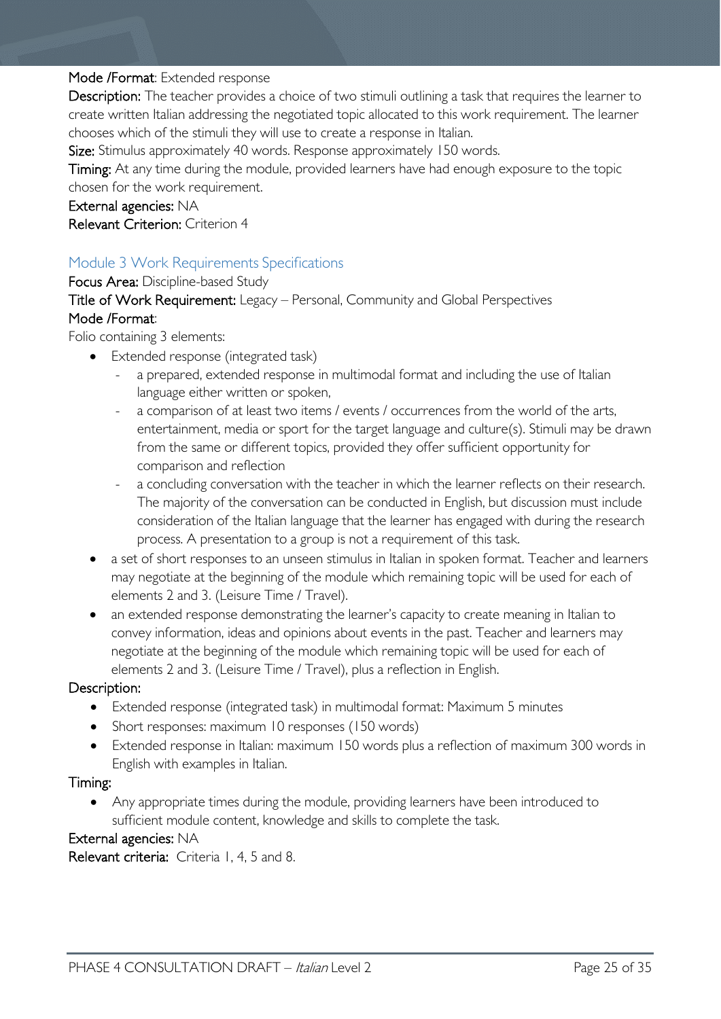## Mode /Format: Extended response

Description: The teacher provides a choice of two stimuli outlining a task that requires the learner to create written Italian addressing the negotiated topic allocated to this work requirement. The learner chooses which of the stimuli they will use to create a response in Italian.

Size: Stimulus approximately 40 words. Response approximately 150 words.

Timing: At any time during the module, provided learners have had enough exposure to the topic

chosen for the work requirement.

External agencies: NA

Relevant Criterion: Criterion 4

# <span id="page-24-0"></span>Module 3 Work Requirements Specifications

Focus Area: Discipline-based Study

# Title of Work Requirement: Legacy – Personal, Community and Global Perspectives Mode /Format:

Folio containing 3 elements:

- Extended response (integrated task)
	- a prepared, extended response in multimodal format and including the use of Italian language either written or spoken,
	- a comparison of at least two items / events / occurrences from the world of the arts, entertainment, media or sport for the target language and culture(s). Stimuli may be drawn from the same or different topics, provided they offer sufficient opportunity for comparison and reflection
	- a concluding conversation with the teacher in which the learner reflects on their research. The majority of the conversation can be conducted in English, but discussion must include consideration of the Italian language that the learner has engaged with during the research process. A presentation to a group is not a requirement of this task.
- a set of short responses to an unseen stimulus in Italian in spoken format. Teacher and learners may negotiate at the beginning of the module which remaining topic will be used for each of elements 2 and 3. (Leisure Time / Travel).
- an extended response demonstrating the learner's capacity to create meaning in Italian to convey information, ideas and opinions about events in the past. Teacher and learners may negotiate at the beginning of the module which remaining topic will be used for each of elements 2 and 3. (Leisure Time / Travel), plus a reflection in English.

# Description:

- Extended response (integrated task) in multimodal format: Maximum 5 minutes
- Short responses: maximum 10 responses (150 words)
- Extended response in Italian: maximum 150 words plus a reflection of maximum 300 words in English with examples in Italian.

## Timing:

• Any appropriate times during the module, providing learners have been introduced to sufficient module content, knowledge and skills to complete the task.

## External agencies: NA

Relevant criteria: Criteria 1, 4, 5 and 8.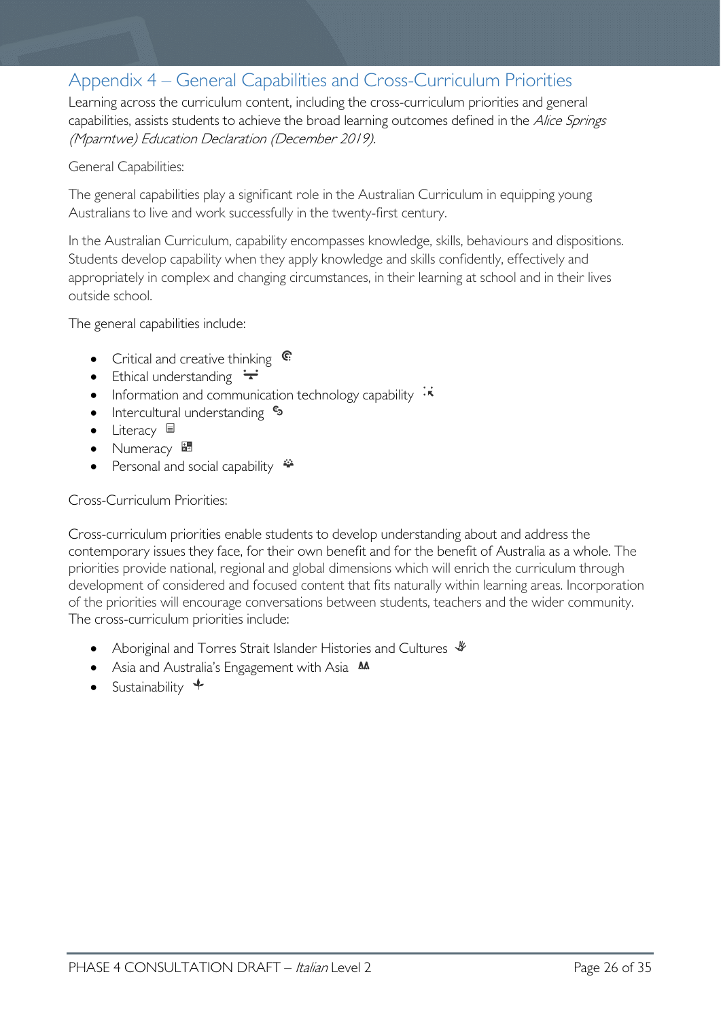# <span id="page-25-0"></span>Appendix 4 – General Capabilities and Cross-Curriculum Priorities

Learning across the curriculum content, including the cross-curriculum priorities and general capabilities, assists students to achieve the broad learning outcomes defined in the Alice Springs (Mparntwe) Education Declaration (December 2019).

#### General Capabilities:

The general capabilities play a significant role in the Australian Curriculum in equipping young Australians to live and work successfully in the twenty-first century.

In the Australian Curriculum, capability encompasses knowledge, skills, behaviours and dispositions. Students develop capability when they apply knowledge and skills confidently, effectively and appropriately in complex and changing circumstances, in their learning at school and in their lives outside school.

The general capabilities include:

- Critical and creative thinking  $\mathbb{C}$
- Ethical understanding  $\div$
- Information and communication technology capability  $\cdot \star$
- Intercultural understanding •
- Literacy  $\blacksquare$
- Numeracy
- Personal and social capability  $\ddot{\ddot{\bullet}}$

## Cross-Curriculum Priorities:

Cross-curriculum priorities enable students to develop understanding about and address the contemporary issues they face, for their own benefit and for the benefit of Australia as a whole. The priorities provide national, regional and global dimensions which will enrich the curriculum through development of considered and focused content that fits naturally within learning areas. Incorporation of the priorities will encourage conversations between students, teachers and the wider community. The cross-curriculum priorities include:

- Aboriginal and Torres Strait Islander Histories and Cultures  $\mathscr W$
- Asia and Australia's Engagement with Asia **AA**
- Sustainability  $\triangleleft$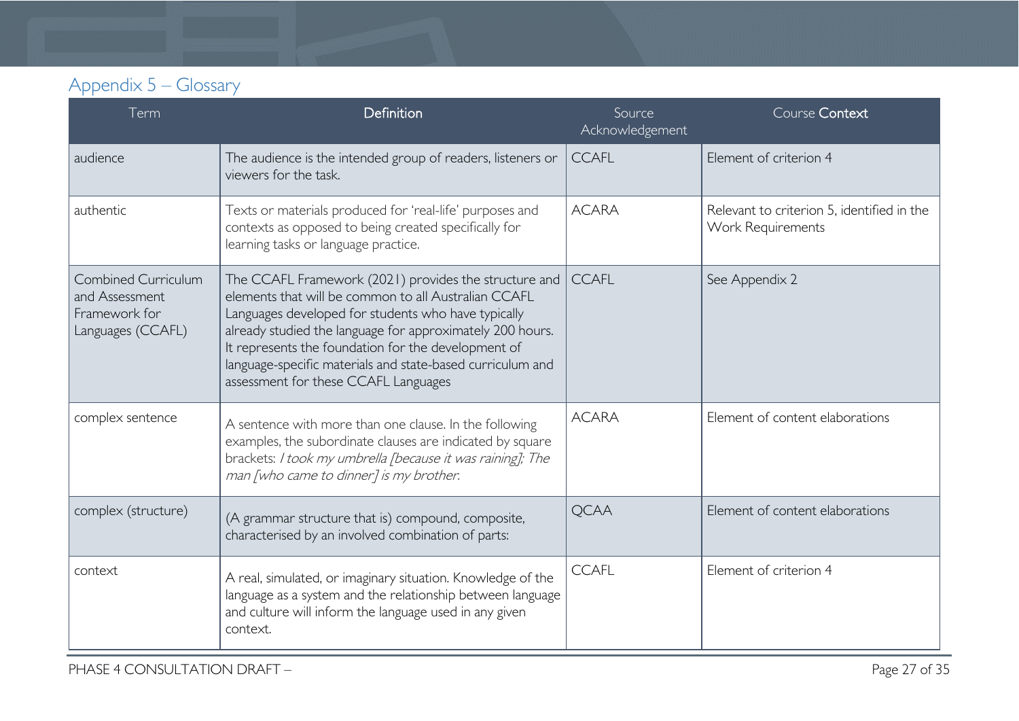# Appendix 5 – Glossary

<span id="page-26-0"></span>

| Term                                                                        | Definition                                                                                                                                                                                                                                                                                                                                                                                     | Source<br>Acknowledgement | Course Context                                                  |
|-----------------------------------------------------------------------------|------------------------------------------------------------------------------------------------------------------------------------------------------------------------------------------------------------------------------------------------------------------------------------------------------------------------------------------------------------------------------------------------|---------------------------|-----------------------------------------------------------------|
| audience                                                                    | The audience is the intended group of readers, listeners or<br>viewers for the task.                                                                                                                                                                                                                                                                                                           | <b>CCAFL</b>              | Element of criterion 4                                          |
| authentic                                                                   | Texts or materials produced for 'real-life' purposes and<br>contexts as opposed to being created specifically for<br>learning tasks or language practice.                                                                                                                                                                                                                                      | <b>ACARA</b>              | Relevant to criterion 5, identified in the<br>Work Requirements |
| Combined Curriculum<br>and Assessment<br>Framework for<br>Languages (CCAFL) | The CCAFL Framework (2021) provides the structure and<br>elements that will be common to all Australian CCAFL<br>Languages developed for students who have typically<br>already studied the language for approximately 200 hours.<br>It represents the foundation for the development of<br>language-specific materials and state-based curriculum and<br>assessment for these CCAFL Languages | <b>CCAFL</b>              | See Appendix 2                                                  |
| complex sentence                                                            | A sentence with more than one clause. In the following<br>examples, the subordinate clauses are indicated by square<br>brackets: I took my umbrella [because it was raining]; The<br>man [who came to dinner] is my brother.                                                                                                                                                                   | <b>ACARA</b>              | Element of content elaborations                                 |
| complex (structure)                                                         | (A grammar structure that is) compound, composite,<br>characterised by an involved combination of parts:                                                                                                                                                                                                                                                                                       | <b>QCAA</b>               | Element of content elaborations                                 |
| context                                                                     | A real, simulated, or imaginary situation. Knowledge of the<br>language as a system and the relationship between language<br>and culture will inform the language used in any given<br>context.                                                                                                                                                                                                | <b>CCAFL</b>              | Element of criterion 4                                          |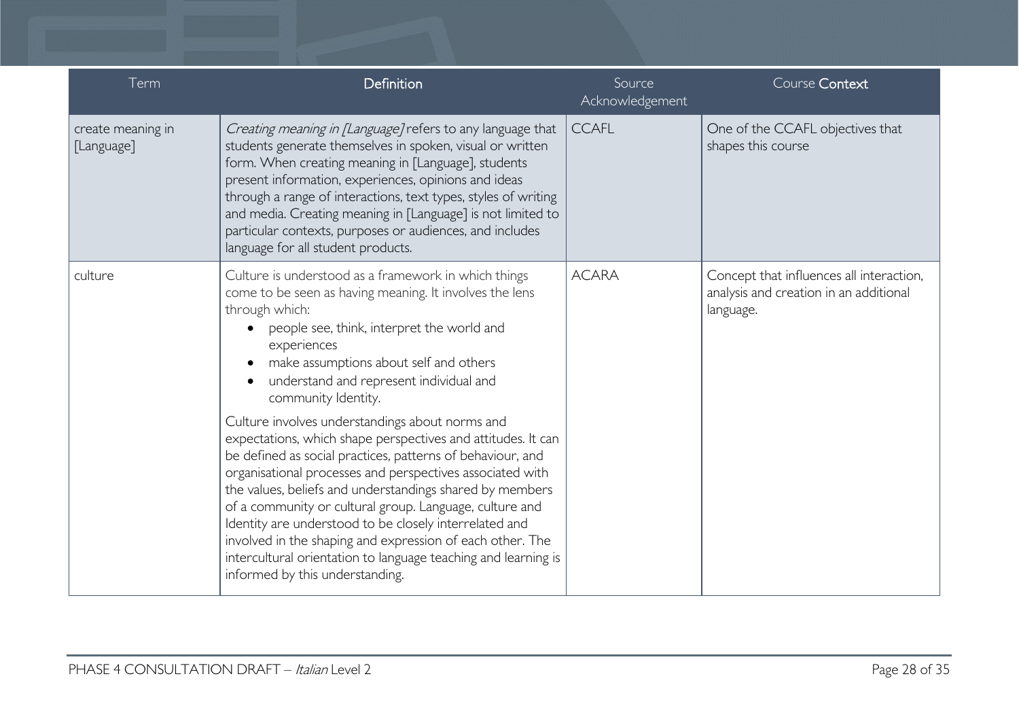| Term                            | Definition                                                                                                                                                                                                                                                                                                                                                                                                                                                                                                                                                                                    | Source<br>Acknowledgement | Course Context                                                                                  |
|---------------------------------|-----------------------------------------------------------------------------------------------------------------------------------------------------------------------------------------------------------------------------------------------------------------------------------------------------------------------------------------------------------------------------------------------------------------------------------------------------------------------------------------------------------------------------------------------------------------------------------------------|---------------------------|-------------------------------------------------------------------------------------------------|
| create meaning in<br>[Language] | Creating meaning in [Language] refers to any language that<br>students generate themselves in spoken, visual or written<br>form. When creating meaning in [Language], students<br>present information, experiences, opinions and ideas<br>through a range of interactions, text types, styles of writing<br>and media. Creating meaning in [Language] is not limited to<br>particular contexts, purposes or audiences, and includes<br>language for all student products.                                                                                                                     | <b>CCAFL</b>              | One of the CCAFL objectives that<br>shapes this course                                          |
| culture                         | Culture is understood as a framework in which things<br>come to be seen as having meaning. It involves the lens<br>through which:<br>people see, think, interpret the world and<br>experiences<br>make assumptions about self and others<br>understand and represent individual and<br>community Identity.                                                                                                                                                                                                                                                                                    | <b>ACARA</b>              | Concept that influences all interaction,<br>analysis and creation in an additional<br>language. |
|                                 | Culture involves understandings about norms and<br>expectations, which shape perspectives and attitudes. It can<br>be defined as social practices, patterns of behaviour, and<br>organisational processes and perspectives associated with<br>the values, beliefs and understandings shared by members<br>of a community or cultural group. Language, culture and<br>Identity are understood to be closely interrelated and<br>involved in the shaping and expression of each other. The<br>intercultural orientation to language teaching and learning is<br>informed by this understanding. |                           |                                                                                                 |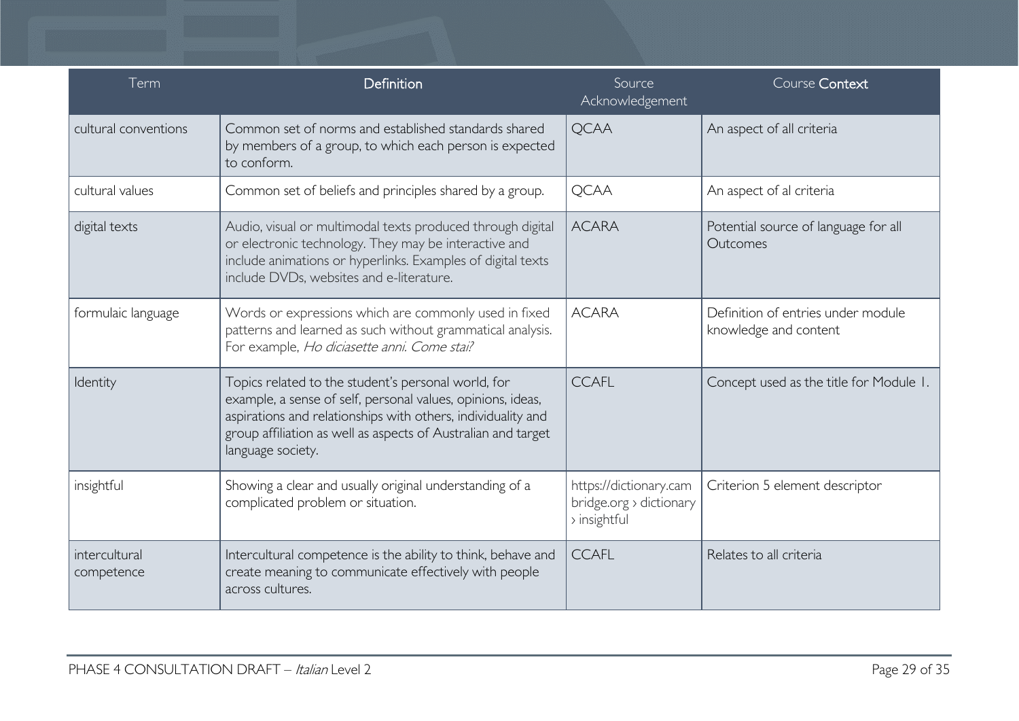| Term                        | Definition                                                                                                                                                                                                                                                               | Source<br>Acknowledgement                                         | Course Context                                              |
|-----------------------------|--------------------------------------------------------------------------------------------------------------------------------------------------------------------------------------------------------------------------------------------------------------------------|-------------------------------------------------------------------|-------------------------------------------------------------|
| cultural conventions        | Common set of norms and established standards shared<br>by members of a group, to which each person is expected<br>to conform.                                                                                                                                           | <b>QCAA</b>                                                       | An aspect of all criteria                                   |
| cultural values             | Common set of beliefs and principles shared by a group.                                                                                                                                                                                                                  | <b>QCAA</b>                                                       | An aspect of al criteria                                    |
| digital texts               | Audio, visual or multimodal texts produced through digital<br>or electronic technology. They may be interactive and<br>include animations or hyperlinks. Examples of digital texts<br>include DVDs, websites and e-literature.                                           | <b>ACARA</b>                                                      | Potential source of language for all<br>Outcomes            |
| formulaic language          | Words or expressions which are commonly used in fixed<br>patterns and learned as such without grammatical analysis.<br>For example, Ho diciasette anni. Come stai?                                                                                                       | <b>ACARA</b>                                                      | Definition of entries under module<br>knowledge and content |
| Identity                    | Topics related to the student's personal world, for<br>example, a sense of self, personal values, opinions, ideas,<br>aspirations and relationships with others, individuality and<br>group affiliation as well as aspects of Australian and target<br>language society. | <b>CCAFL</b>                                                      | Concept used as the title for Module 1.                     |
| insightful                  | Showing a clear and usually original understanding of a<br>complicated problem or situation.                                                                                                                                                                             | https://dictionary.cam<br>bridge.org > dictionary<br>> insightful | Criterion 5 element descriptor                              |
| intercultural<br>competence | Intercultural competence is the ability to think, behave and<br>create meaning to communicate effectively with people<br>across cultures.                                                                                                                                | <b>CCAFL</b>                                                      | Relates to all criteria                                     |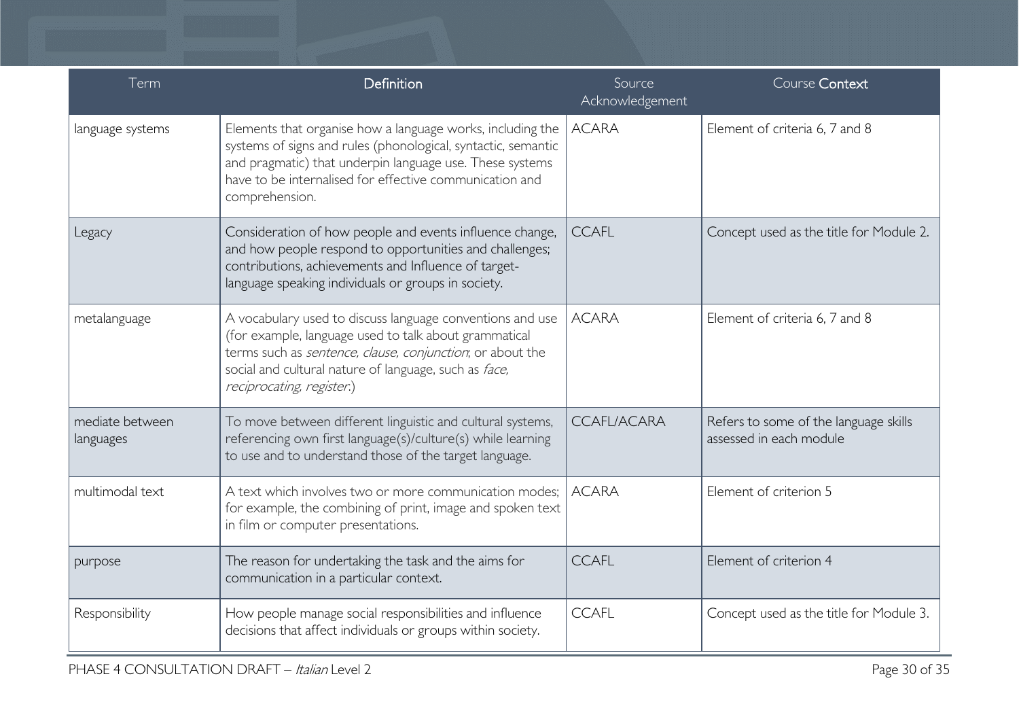| Term                         | Definition                                                                                                                                                                                                                                                            | Source<br>Acknowledgement | Course Context                                                   |
|------------------------------|-----------------------------------------------------------------------------------------------------------------------------------------------------------------------------------------------------------------------------------------------------------------------|---------------------------|------------------------------------------------------------------|
| language systems             | Elements that organise how a language works, including the<br>systems of signs and rules (phonological, syntactic, semantic<br>and pragmatic) that underpin language use. These systems<br>have to be internalised for effective communication and<br>comprehension.  | <b>ACARA</b>              | Element of criteria 6, 7 and 8                                   |
| Legacy                       | Consideration of how people and events influence change,<br>and how people respond to opportunities and challenges;<br>contributions, achievements and Influence of target-<br>language speaking individuals or groups in society.                                    | <b>CCAFL</b>              | Concept used as the title for Module 2.                          |
| metalanguage                 | A vocabulary used to discuss language conventions and use<br>(for example, language used to talk about grammatical<br>terms such as sentence, clause, conjunction, or about the<br>social and cultural nature of language, such as face,<br>reciprocating, register.) | <b>ACARA</b>              | Element of criteria 6, 7 and 8                                   |
| mediate between<br>languages | To move between different linguistic and cultural systems,<br>referencing own first language(s)/culture(s) while learning<br>to use and to understand those of the target language.                                                                                   | <b>CCAFL/ACARA</b>        | Refers to some of the language skills<br>assessed in each module |
| multimodal text              | A text which involves two or more communication modes;<br>for example, the combining of print, image and spoken text<br>in film or computer presentations.                                                                                                            | <b>ACARA</b>              | Element of criterion 5                                           |
| purpose                      | The reason for undertaking the task and the aims for<br>communication in a particular context.                                                                                                                                                                        | <b>CCAFL</b>              | Element of criterion 4                                           |
| Responsibility               | How people manage social responsibilities and influence<br>decisions that affect individuals or groups within society.                                                                                                                                                | <b>CCAFL</b>              | Concept used as the title for Module 3.                          |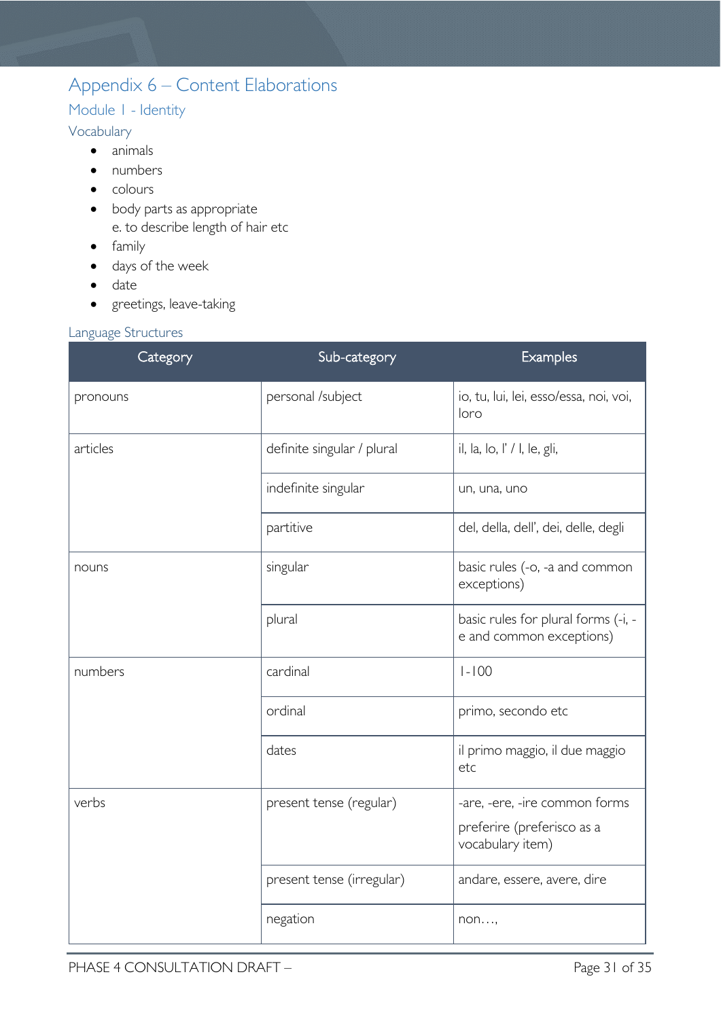# <span id="page-30-0"></span>Appendix 6 – Content Elaborations

# <span id="page-30-1"></span>Module 1 - Identity

# <span id="page-30-2"></span>Vocabulary

- animals
- numbers
- colours
- body parts as appropriate e. to describe length of hair etc
- family
- days of the week
- date
- greetings, leave-taking

# <span id="page-30-3"></span>Language Structures

| Category | Sub-category               | Examples                                                        |
|----------|----------------------------|-----------------------------------------------------------------|
| pronouns | personal /subject          | io, tu, lui, lei, esso/essa, noi, voi,<br>loro                  |
| articles | definite singular / plural | il, la, lo, l' / l, le, gli,                                    |
|          | indefinite singular        | un, una, uno                                                    |
|          | partitive                  | del, della, dell', dei, delle, degli                            |
| nouns    | singular                   | basic rules (-o, -a and common<br>exceptions)                   |
|          | plural                     | basic rules for plural forms (-i, -<br>e and common exceptions) |
| numbers  | cardinal                   | $1 - 100$                                                       |
|          | ordinal                    | primo, secondo etc                                              |
|          | dates                      | il primo maggio, il due maggio<br>etc                           |
| verbs    | present tense (regular)    | -are, -ere, -ire common forms                                   |
|          |                            | preferire (preferisco as a<br>vocabulary item)                  |
|          | present tense (irregular)  | andare, essere, avere, dire                                     |
|          | negation                   | non                                                             |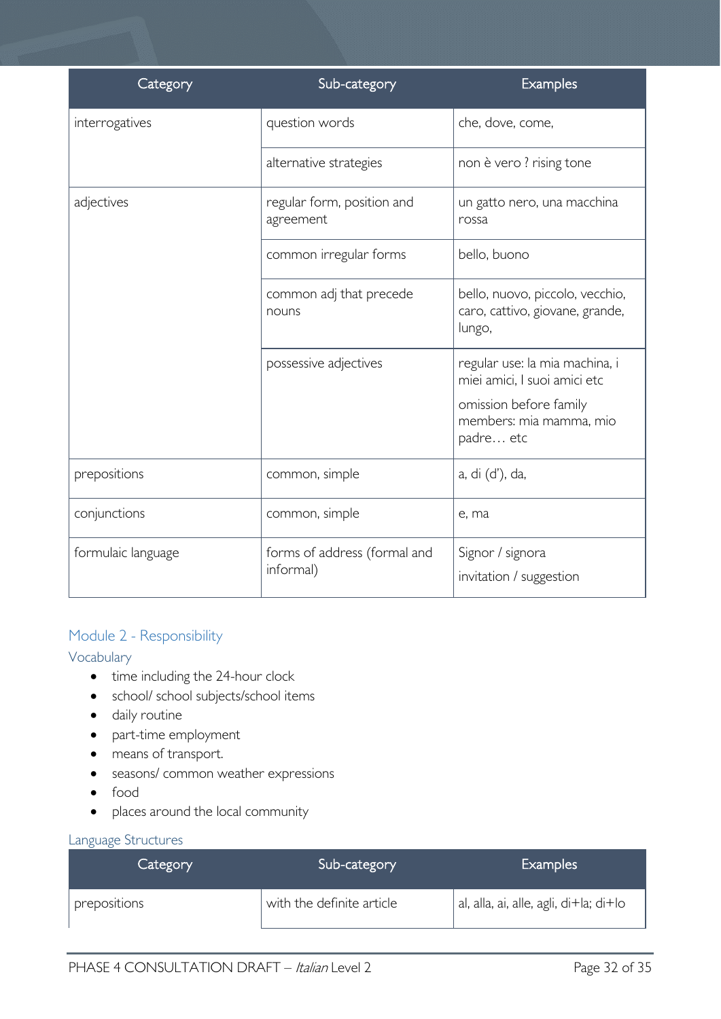| Category           | Sub-category                              | Examples                                                                     |
|--------------------|-------------------------------------------|------------------------------------------------------------------------------|
| interrogatives     | question words                            | che, dove, come,                                                             |
|                    | alternative strategies                    | non è vero ? rising tone                                                     |
| adjectives         | regular form, position and<br>agreement   | un gatto nero, una macchina<br>rossa                                         |
|                    | common irregular forms                    | bello, buono                                                                 |
|                    | common adj that precede<br>nouns          | bello, nuovo, piccolo, vecchio,<br>caro, cattivo, giovane, grande,<br>lungo, |
|                    | possessive adjectives                     | regular use: la mia machina, i<br>miei amici, I suoi amici etc               |
|                    |                                           | omission before family<br>members: mia mamma, mio<br>padre etc               |
| prepositions       | common, simple                            | a, di (d'), da,                                                              |
| conjunctions       | common, simple                            | e, ma                                                                        |
| formulaic language | forms of address (formal and<br>informal) | Signor / signora<br>invitation / suggestion                                  |

# <span id="page-31-0"></span>Module 2 - Responsibility

## <span id="page-31-1"></span>Vocabulary

- time including the 24-hour clock
- school/ school subjects/school items
- daily routine
- part-time employment
- means of transport.
- seasons/ common weather expressions
- food
- places around the local community

## <span id="page-31-2"></span>Language Structures

| Category     | Sub-category              | <b>Examples</b>                        |
|--------------|---------------------------|----------------------------------------|
| prepositions | with the definite article | al, alla, ai, alle, agli, di+la; di+lo |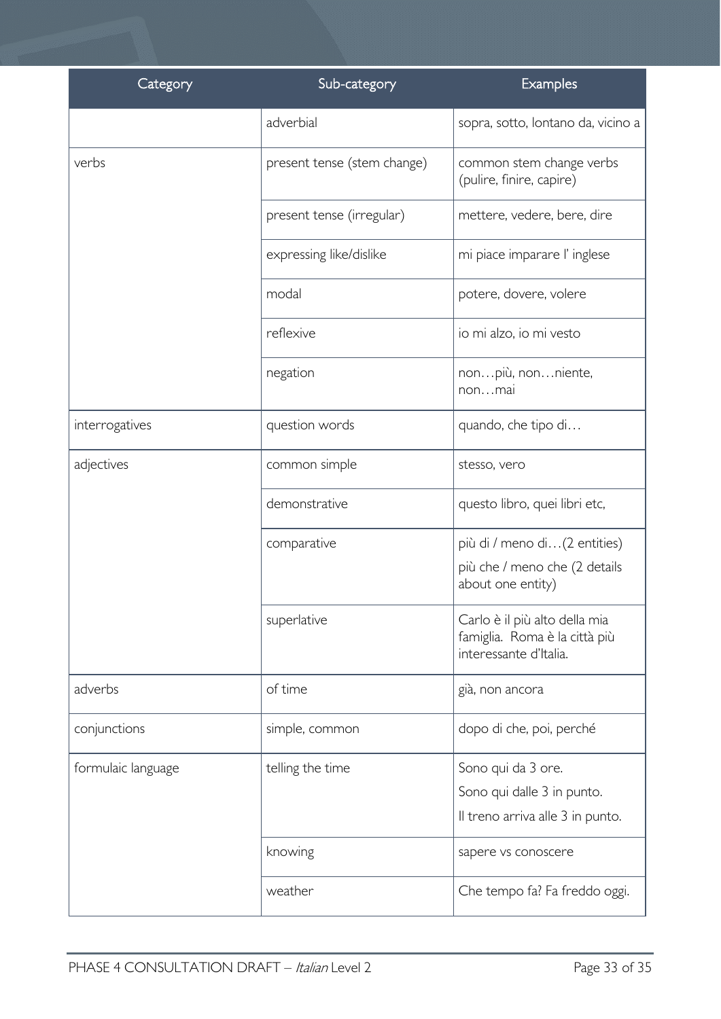| Category           | Sub-category                | Examples                                                                                 |
|--------------------|-----------------------------|------------------------------------------------------------------------------------------|
|                    | adverbial                   | sopra, sotto, lontano da, vicino a                                                       |
| verbs              | present tense (stem change) | common stem change verbs<br>(pulire, finire, capire)                                     |
|                    | present tense (irregular)   | mettere, vedere, bere, dire                                                              |
|                    | expressing like/dislike     | mi piace imparare l'inglese                                                              |
|                    | modal                       | potere, dovere, volere                                                                   |
|                    | reflexive                   | io mi alzo, io mi vesto                                                                  |
|                    | negation                    | nonpiù, nonniente,<br>nonmai                                                             |
| interrogatives     | question words              | quando, che tipo di                                                                      |
| adjectives         | common simple               | stesso, vero                                                                             |
|                    | demonstrative               | questo libro, quei libri etc,                                                            |
|                    | comparative                 | più di / meno di(2 entities)                                                             |
|                    |                             | più che / meno che (2 details<br>about one entity)                                       |
|                    | superlative                 | Carlo è il più alto della mia<br>famiglia. Roma è la città più<br>interessante d'Italia. |
| adverbs            | of time                     | già, non ancora                                                                          |
| conjunctions       | simple, common              | dopo di che, poi, perché                                                                 |
| formulaic language | telling the time            | Sono qui da 3 ore.                                                                       |
|                    |                             | Sono qui dalle 3 in punto.                                                               |
|                    |                             | Il treno arriva alle 3 in punto.                                                         |
|                    | knowing                     | sapere vs conoscere                                                                      |
|                    | weather                     | Che tempo fa? Fa freddo oggi.                                                            |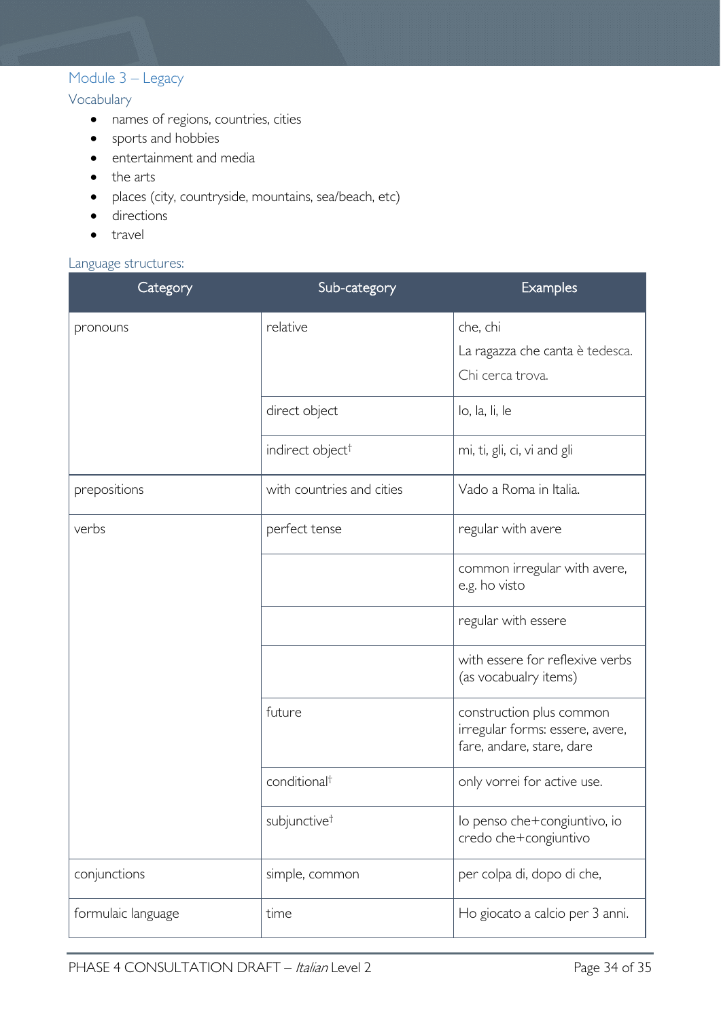# <span id="page-33-0"></span>Module 3 – Legacy

<span id="page-33-1"></span>Vocabulary

- names of regions, countries, cities
- sports and hobbies
- entertainment and media
- the arts
- places (city, countryside, mountains, sea/beach, etc)
- directions
- travel

#### <span id="page-33-2"></span>Language structures:

| Category           | Sub-category                 | Examples                                                                                 |
|--------------------|------------------------------|------------------------------------------------------------------------------------------|
| pronouns           | relative                     | che, chi<br>La ragazza che canta è tedesca.<br>Chi cerca trova.                          |
|                    | direct object                | lo, la, li, le                                                                           |
|                    | indirect object <sup>†</sup> | mi, ti, gli, ci, vi and gli                                                              |
| prepositions       | with countries and cities    | Vado a Roma in Italia.                                                                   |
| verbs              | perfect tense                | regular with avere                                                                       |
|                    |                              | common irregular with avere,<br>e.g. ho visto                                            |
|                    |                              | regular with essere                                                                      |
|                    |                              | with essere for reflexive verbs<br>(as vocabualry items)                                 |
|                    | future                       | construction plus common<br>irregular forms: essere, avere,<br>fare, andare, stare, dare |
|                    | conditional <sup>+</sup>     | only vorrei for active use.                                                              |
|                    | subjunctive <sup>t</sup>     | lo penso che+congiuntivo, io<br>credo che+congiuntivo                                    |
| conjunctions       | simple, common               | per colpa di, dopo di che,                                                               |
| formulaic language | time                         | Ho giocato a calcio per 3 anni.                                                          |